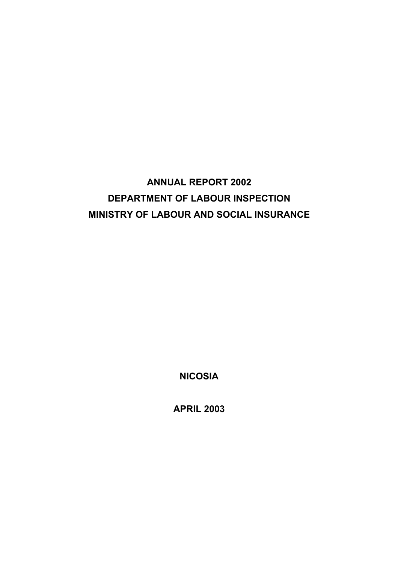# **ANNUAL REPORT 2002 DEPARTMENT OF LABOUR INSPECTION MINISTRY OF LABOUR AND SOCIAL INSURANCE**

**NICOSIA**

**APRIL 2003**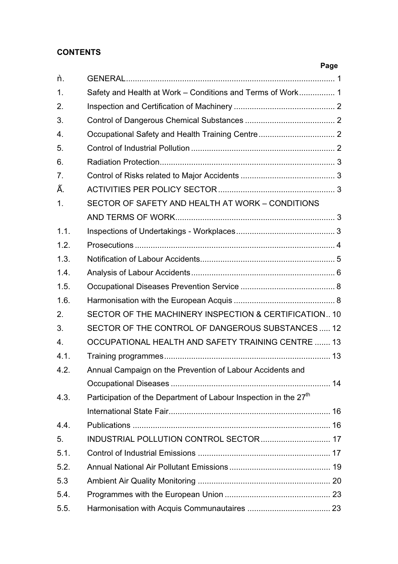## **CONTENTS**

|                  |                                                                              | Page |
|------------------|------------------------------------------------------------------------------|------|
|                  |                                                                              |      |
| $\mathbf{1}$ .   | Safety and Health at Work - Conditions and Terms of Work 1                   |      |
| 2.               |                                                                              |      |
| 3.               |                                                                              |      |
| 4.               |                                                                              |      |
| 5.               |                                                                              |      |
| 6.               |                                                                              |      |
| 7.               |                                                                              |      |
|                  |                                                                              |      |
| 1.               | SECTOR OF SAFETY AND HEALTH AT WORK - CONDITIONS                             |      |
|                  |                                                                              |      |
| 1.1.             |                                                                              |      |
| 1.2.             |                                                                              |      |
| 1.3.             |                                                                              |      |
| 1.4.             |                                                                              |      |
| 1.5.             |                                                                              |      |
| 1.6.             |                                                                              |      |
| 2.               | SECTOR OF THE MACHINERY INSPECTION & CERTIFICATION 10                        |      |
| 3.               | SECTOR OF THE CONTROL OF DANGEROUS SUBSTANCES  12                            |      |
| $\overline{4}$ . | OCCUPATIONAL HEALTH AND SAFETY TRAINING CENTRE  13                           |      |
| 4.1.             |                                                                              |      |
| 4.2.             | Annual Campaign on the Prevention of Labour Accidents and                    |      |
|                  |                                                                              |      |
| 4.3.             | Participation of the Department of Labour Inspection in the 27 <sup>th</sup> |      |
|                  |                                                                              |      |
| 4.4.             |                                                                              |      |
| 5.               | INDUSTRIAL POLLUTION CONTROL SECTOR  17                                      |      |
| 5.1.             |                                                                              |      |
| 5.2.             |                                                                              |      |
| 5.3              |                                                                              |      |
| 5.4.             |                                                                              |      |
| 5.5.             |                                                                              |      |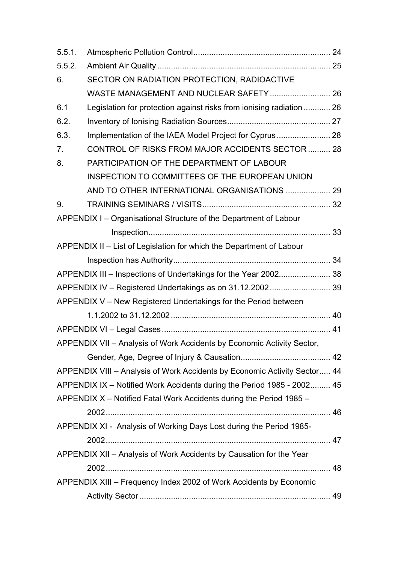| 5.5.1.         |                                                                           |  |
|----------------|---------------------------------------------------------------------------|--|
| 5.5.2.         |                                                                           |  |
| 6.             | SECTOR ON RADIATION PROTECTION, RADIOACTIVE                               |  |
|                | WASTE MANAGEMENT AND NUCLEAR SAFETY  26                                   |  |
| 6.1            | Legislation for protection against risks from ionising radiation  26      |  |
| 6.2.           |                                                                           |  |
| 6.3.           | Implementation of the IAEA Model Project for Cyprus 28                    |  |
| 7 <sub>1</sub> | CONTROL OF RISKS FROM MAJOR ACCIDENTS SECTOR  28                          |  |
| 8.             | PARTICIPATION OF THE DEPARTMENT OF LABOUR                                 |  |
|                | INSPECTION TO COMMITTEES OF THE EUROPEAN UNION                            |  |
|                | AND TO OTHER INTERNATIONAL ORGANISATIONS  29                              |  |
| 9.             |                                                                           |  |
|                | APPENDIX I - Organisational Structure of the Department of Labour         |  |
|                |                                                                           |  |
|                | APPENDIX II - List of Legislation for which the Department of Labour      |  |
|                |                                                                           |  |
|                | APPENDIX III - Inspections of Undertakings for the Year 2002 38           |  |
|                | APPENDIX IV - Registered Undertakings as on 31.12.2002 39                 |  |
|                | APPENDIX V - New Registered Undertakings for the Period between           |  |
|                |                                                                           |  |
|                |                                                                           |  |
|                | APPENDIX VII - Analysis of Work Accidents by Economic Activity Sector,    |  |
|                |                                                                           |  |
|                | APPENDIX VIII - Analysis of Work Accidents by Economic Activity Sector 44 |  |
|                | APPENDIX IX - Notified Work Accidents during the Period 1985 - 2002 45    |  |
|                | APPENDIX X - Notified Fatal Work Accidents during the Period 1985 -       |  |
|                |                                                                           |  |
|                | APPENDIX XI - Analysis of Working Days Lost during the Period 1985-       |  |
|                |                                                                           |  |
|                | APPENDIX XII - Analysis of Work Accidents by Causation for the Year       |  |
|                |                                                                           |  |
|                | APPENDIX XIII - Frequency Index 2002 of Work Accidents by Economic        |  |
|                |                                                                           |  |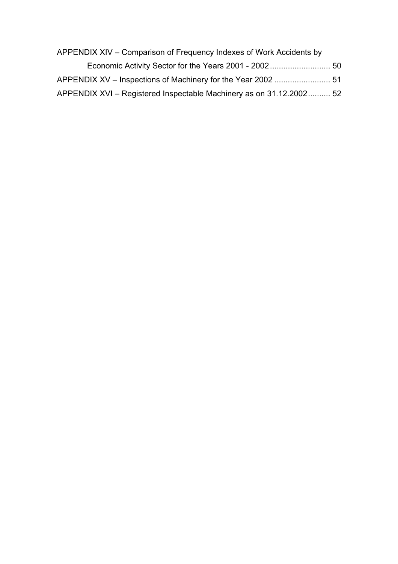| APPENDIX XIV – Comparison of Frequency Indexes of Work Accidents by |  |
|---------------------------------------------------------------------|--|
|                                                                     |  |
|                                                                     |  |
| APPENDIX XVI - Registered Inspectable Machinery as on 31.12.2002 52 |  |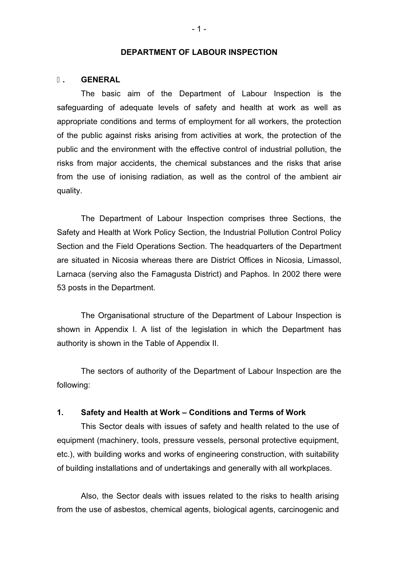#### **DEPARTMENT OF LABOUR INSPECTION**

#### **. GENERAL**

The basic aim of the Department of Labour Inspection is the safeguarding of adequate levels of safety and health at work as well as appropriate conditions and terms of employment for all workers, the protection of the public against risks arising from activities at work, the protection of the public and the environment with the effective control of industrial pollution, the risks from major accidents, the chemical substances and the risks that arise from the use of ionising radiation, as well as the control of the ambient air quality.

The Department of Labour Inspection comprises three Sections, the Safety and Health at Work Policy Section, the Industrial Pollution Control Policy Section and the Field Operations Section. The headquarters of the Department are situated in Nicosia whereas there are District Offices in Nicosia, Limassol, Larnaca (serving also the Famagusta District) and Paphos. In 2002 there were 53 posts in the Department.

The Organisational structure of the Department of Labour Inspection is shown in Appendix I. A list of the legislation in which the Department has authority is shown in the Table of Appendix II.

The sectors of authority of the Department of Labour Inspection are the following:

#### **1. Safety and Health at Work – Conditions and Terms of Work**

This Sector deals with issues of safety and health related to the use of equipment (machinery, tools, pressure vessels, personal protective equipment, etc.), with building works and works of engineering construction, with suitability of building installations and of undertakings and generally with all workplaces.

Also, the Sector deals with issues related to the risks to health arising from the use of asbestos, chemical agents, biological agents, carcinogenic and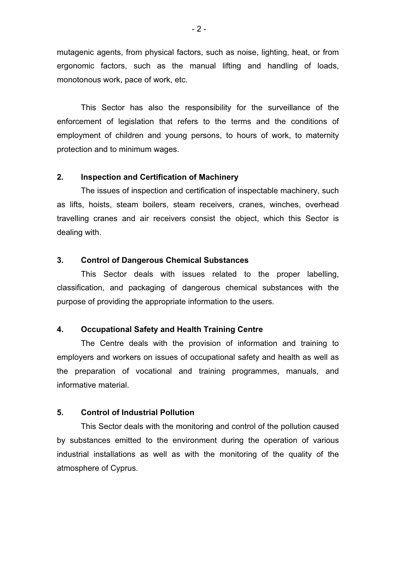mutagenic agents, from physical factors, such as noise, lighting, heat, or from ergonomic factors, such as the manual lifting and handling of loads, monotonous work, pace of work, etc.

This Sector has also the responsibility for the surveillance of the enforcement of legislation that refers to the terms and the conditions of employment of children and young persons, to hours of work, to maternity protection and to minimum wages.

#### **2. Inspection and Certification of Machinery**

The issues of inspection and certification of inspectable machinery, such as lifts, hoists, steam boilers, steam receivers, cranes, winches, overhead travelling cranes and air receivers consist the object, which this Sector is dealing with.

### **3. Control of Dangerous Chemical Substances**

This Sector deals with issues related to the proper labelling, classification, and packaging of dangerous chemical substances with the purpose of providing the appropriate information to the users.

#### **4. Occupational Safety and Health Training Centre**

The Centre deals with the provision of information and training to employers and workers on issues of occupational safety and health as well as the preparation of vocational and training programmes, manuals, and informative material.

#### **5. Control of Industrial Pollution**

This Sector deals with the monitoring and control of the pollution caused by substances emitted to the environment during the operation of various industrial installations as well as with the monitoring of the quality of the atmosphere of Cyprus.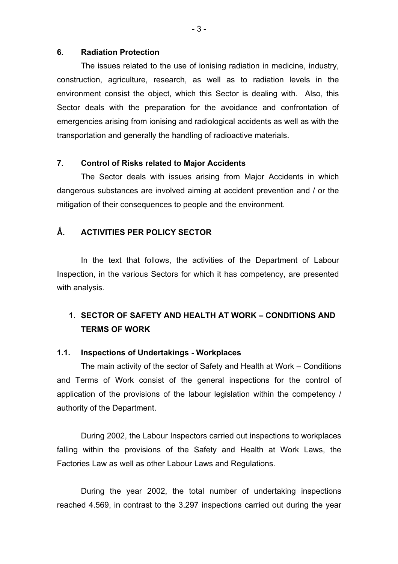#### **6. Radiation Protection**

The issues related to the use of ionising radiation in medicine, industry, construction, agriculture, research, as well as to radiation levels in the environment consist the object, which this Sector is dealing with. Also, this Sector deals with the preparation for the avoidance and confrontation of emergencies arising from ionising and radiological accidents as well as with the transportation and generally the handling of radioactive materials.

#### **7. Control of Risks related to Major Accidents**

The Sector deals with issues arising from Major Accidents in which dangerous substances are involved aiming at accident prevention and / or the mitigation of their consequences to people and the environment.

#### **. ACTIVITIES PER POLICY SECTOR**

In the text that follows, the activities of the Department of Labour Inspection, in the various Sectors for which it has competency, are presented with analysis.

## **1. SECTOR OF SAFETY AND HEALTH AT WORK – CONDITIONS AND TERMS OF WORK**

#### **1.1. Inspections of Undertakings - Workplaces**

 The main activity of the sector of Safety and Health at Work – Conditions and Terms of Work consist of the general inspections for the control of application of the provisions of the labour legislation within the competency / authority of the Department.

During 2002, the Labour Inspectors carried out inspections to workplaces falling within the provisions of the Safety and Health at Work Laws, the Factories Law as well as other Labour Laws and Regulations.

During the year 2002, the total number of undertaking inspections reached 4.569, in contrast to the 3.297 inspections carried out during the year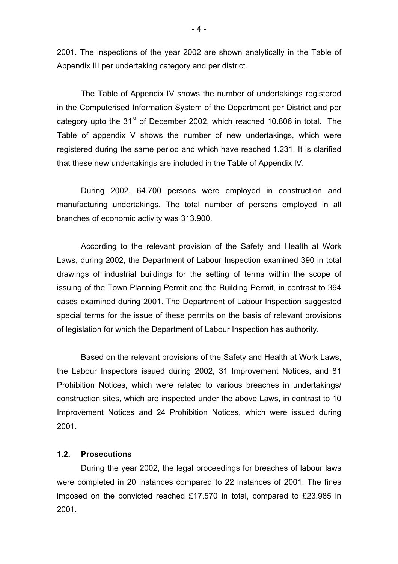2001. The inspections of the year 2002 are shown analytically in the Table of Appendix III per undertaking category and per district.

The Table of Appendix IV shows the number of undertakings registered in the Computerised Information System of the Department per District and per category upto the  $31<sup>st</sup>$  of December 2002, which reached 10.806 in total. The Table of appendix V shows the number of new undertakings, which were registered during the same period and which have reached 1.231. It is clarified that these new undertakings are included in the Table of Appendix IV.

During 2002, 64.700 persons were employed in construction and manufacturing undertakings. The total number of persons employed in all branches of economic activity was 313.900.

According to the relevant provision of the Safety and Health at Work Laws, during 2002, the Department of Labour Inspection examined 390 in total drawings of industrial buildings for the setting of terms within the scope of issuing of the Town Planning Permit and the Building Permit, in contrast to 394 cases examined during 2001. The Department of Labour Inspection suggested special terms for the issue of these permits on the basis of relevant provisions of legislation for which the Department of Labour Inspection has authority.

Based on the relevant provisions of the Safety and Health at Work Laws, the Labour Inspectors issued during 2002, 31 Improvement Notices, and 81 Prohibition Notices, which were related to various breaches in undertakings/ construction sites, which are inspected under the above Laws, in contrast to 10 Improvement Notices and 24 Prohibition Notices, which were issued during 2001.

#### **1.2. Prosecutions**

 During the year 2002, the legal proceedings for breaches of labour laws were completed in 20 instances compared to 22 instances of 2001. The fines imposed on the convicted reached £17.570 in total, compared to £23.985 in 2001.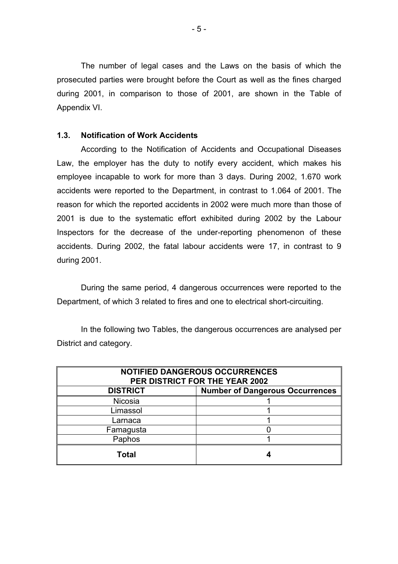The number of legal cases and the Laws on the basis of which the prosecuted parties were brought before the Court as well as the fines charged during 2001, in comparison to those of 2001, are shown in the Table of Appendix VI.

#### **1.3. Notification of Work Accidents**

According to the Notification of Accidents and Occupational Diseases Law, the employer has the duty to notify every accident, which makes his employee incapable to work for more than 3 days. During 2002, 1.670 work accidents were reported to the Department, in contrast to 1.064 of 2001. The reason for which the reported accidents in 2002 were much more than those of 2001 is due to the systematic effort exhibited during 2002 by the Labour Inspectors for the decrease of the under-reporting phenomenon of these accidents. During 2002, the fatal labour accidents were 17, in contrast to 9 during 2001.

During the same period, 4 dangerous occurrences were reported to the Department, of which 3 related to fires and one to electrical short-circuiting.

In the following two Tables, the dangerous occurrences are analysed per District and category.

| <b>NOTIFIED DANGEROUS OCCURRENCES</b><br>PER DISTRICT FOR THE YEAR 2002 |  |  |  |  |
|-------------------------------------------------------------------------|--|--|--|--|
| <b>DISTRICT</b><br><b>Number of Dangerous Occurrences</b>               |  |  |  |  |
| <b>Nicosia</b>                                                          |  |  |  |  |
| Limassol                                                                |  |  |  |  |
| Larnaca                                                                 |  |  |  |  |
| Famagusta                                                               |  |  |  |  |
| Paphos                                                                  |  |  |  |  |
| Total                                                                   |  |  |  |  |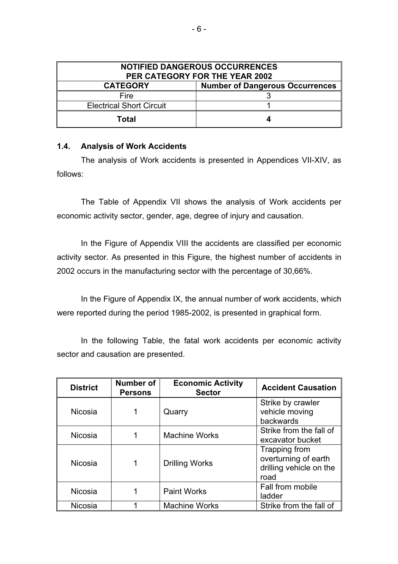| <b>NOTIFIED DANGEROUS OCCURRENCES</b><br>PER CATEGORY FOR THE YEAR 2002 |  |  |  |  |
|-------------------------------------------------------------------------|--|--|--|--|
| <b>Number of Dangerous Occurrences</b><br><b>CATEGORY</b>               |  |  |  |  |
| Fire                                                                    |  |  |  |  |
| <b>Electrical Short Circuit</b>                                         |  |  |  |  |
| Total                                                                   |  |  |  |  |

### **1.4. Analysis of Work Accidents**

The analysis of Work accidents is presented in Appendices VII-XIV, as follows:

The Table of Appendix VII shows the analysis of Work accidents per economic activity sector, gender, age, degree of injury and causation.

 In the Figure of Appendix VIII the accidents are classified per economic activity sector. As presented in this Figure, the highest number of accidents in 2002 occurs in the manufacturing sector with the percentage of 30,66%.

In the Figure of Appendix IX, the annual number of work accidents, which were reported during the period 1985-2002, is presented in graphical form.

In the following Table, the fatal work accidents per economic activity sector and causation are presented.

| <b>District</b> | Number of<br><b>Persons</b> | <b>Economic Activity</b><br><b>Sector</b> | <b>Accident Causation</b>                                                |
|-----------------|-----------------------------|-------------------------------------------|--------------------------------------------------------------------------|
| <b>Nicosia</b>  |                             | Quarry                                    | Strike by crawler<br>vehicle moving<br>backwards                         |
| <b>Nicosia</b>  |                             | <b>Machine Works</b>                      | Strike from the fall of<br>excavator bucket                              |
| <b>Nicosia</b>  |                             | <b>Drilling Works</b>                     | Trapping from<br>overturning of earth<br>drilling vehicle on the<br>road |
| <b>Nicosia</b>  |                             | <b>Paint Works</b>                        | Fall from mobile<br>ladder                                               |
| <b>Nicosia</b>  |                             | <b>Machine Works</b>                      | Strike from the fall of                                                  |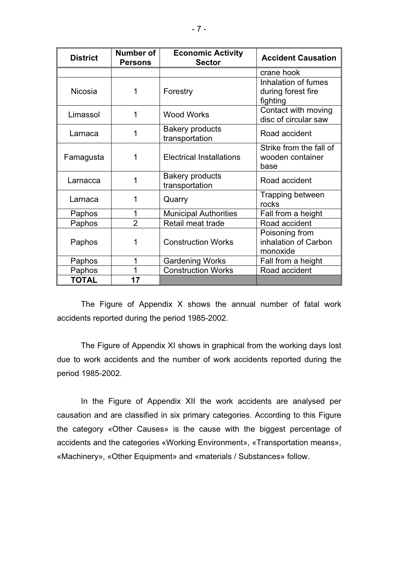| <b>District</b>                                   | Number of<br><b>Economic Activity</b><br><b>Sector</b><br><b>Persons</b> |                                                     | <b>Accident Causation</b>                             |
|---------------------------------------------------|--------------------------------------------------------------------------|-----------------------------------------------------|-------------------------------------------------------|
|                                                   |                                                                          |                                                     | crane hook                                            |
| Nicosia                                           | 1                                                                        | Forestry                                            | Inhalation of fumes<br>during forest fire<br>fighting |
| Limassol                                          | 1                                                                        | <b>Wood Works</b>                                   | Contact with moving<br>disc of circular saw           |
| Larnaca                                           | 1                                                                        | <b>Bakery products</b><br>transportation            | Road accident                                         |
| <b>Electrical Installations</b><br>Famagusta<br>1 |                                                                          | Strike from the fall of<br>wooden container<br>base |                                                       |
| Larnacca                                          | <b>Bakery products</b><br>1<br>transportation                            |                                                     | Road accident                                         |
| Larnaca                                           | 1                                                                        | Quarry                                              | Trapping between<br>rocks                             |
| Paphos                                            | 1                                                                        | <b>Municipal Authorities</b>                        | Fall from a height                                    |
| Paphos                                            | $\overline{2}$                                                           | Retail meat trade                                   | Road accident                                         |
| Paphos                                            | 1                                                                        | <b>Construction Works</b>                           | Poisoning from<br>inhalation of Carbon<br>monoxide    |
| Paphos                                            | 1<br><b>Gardening Works</b>                                              |                                                     | Fall from a height                                    |
| Paphos                                            | 1                                                                        | <b>Construction Works</b>                           | Road accident                                         |
| <b>TOTAL</b>                                      | 17                                                                       |                                                     |                                                       |

 The Figure of Appendix X shows the annual number of fatal work accidents reported during the period 1985-2002.

The Figure of Appendix XI shows in graphical from the working days lost due to work accidents and the number of work accidents reported during the period 1985-2002.

In the Figure of Appendix XII the work accidents are analysed per causation and are classified in six primary categories. According to this Figure the category «Other Causes» is the cause with the biggest percentage of accidents and the categories «Working Environment», «Transportation means», «Machinery», «Other Equipment» and «materials / Substances» follow.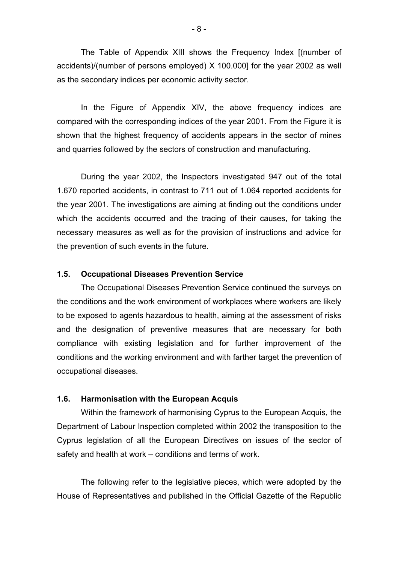The Table of Appendix XIII shows the Frequency Index [(number of accidents)/(number of persons employed) X 100.000] for the year 2002 as well as the secondary indices per economic activity sector.

In the Figure of Appendix XIV, the above frequency indices are compared with the corresponding indices of the year 2001. From the Figure it is shown that the highest frequency of accidents appears in the sector of mines and quarries followed by the sectors of construction and manufacturing.

During the year 2002, the Inspectors investigated 947 out of the total 1.670 reported accidents, in contrast to 711 out of 1.064 reported accidents for the year 2001. The investigations are aiming at finding out the conditions under which the accidents occurred and the tracing of their causes, for taking the necessary measures as well as for the provision of instructions and advice for the prevention of such events in the future.

### **1.5. Occupational Diseases Prevention Service**

The Occupational Diseases Prevention Service continued the surveys on the conditions and the work environment of workplaces where workers are likely to be exposed to agents hazardous to health, aiming at the assessment of risks and the designation of preventive measures that are necessary for both compliance with existing legislation and for further improvement of the conditions and the working environment and with farther target the prevention of occupational diseases.

#### **1.6. Harmonisation with the European Acquis**

 Within the framework of harmonising Cyprus to the European Acquis, the Department of Labour Inspection completed within 2002 the transposition to the Cyprus legislation of all the European Directives on issues of the sector of safety and health at work – conditions and terms of work.

 The following refer to the legislative pieces, which were adopted by the House of Representatives and published in the Official Gazette of the Republic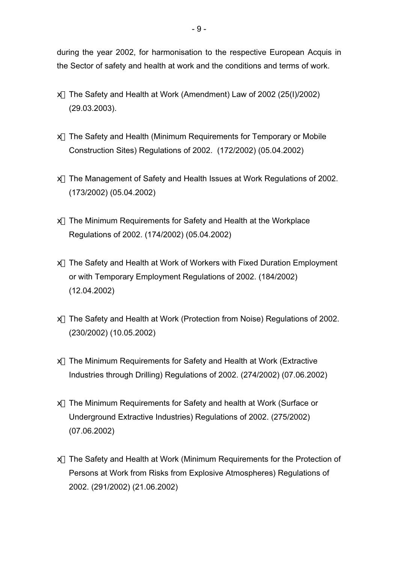during the year 2002, for harmonisation to the respective European Acquis in the Sector of safety and health at work and the conditions and terms of work.

- x The Safety and Health at Work (Amendment) Law of 2002 (25(I)/2002) (29.03.2003).
- x The Safety and Health (Minimum Requirements for Temporary or Mobile Construction Sites) Regulations of 2002. (172/2002) (05.04.2002)
- x The Management of Safety and Health Issues at Work Regulations of 2002. (173/2002) (05.04.2002)
- x The Minimum Requirements for Safety and Health at the Workplace Regulations of 2002. (174/2002) (05.04.2002)
- x The Safety and Health at Work of Workers with Fixed Duration Employment or with Temporary Employment Regulations of 2002. (184/2002) (12.04.2002)
- x The Safety and Health at Work (Protection from Noise) Regulations of 2002. (230/2002) (10.05.2002)
- x The Minimum Requirements for Safety and Health at Work (Extractive Industries through Drilling) Regulations of 2002. (274/2002) (07.06.2002)
- x The Minimum Requirements for Safety and health at Work (Surface or Underground Extractive Industries) Regulations of 2002. (275/2002) (07.06.2002)
- x The Safety and Health at Work (Minimum Requirements for the Protection of Persons at Work from Risks from Explosive Atmospheres) Regulations of 2002. (291/2002) (21.06.2002)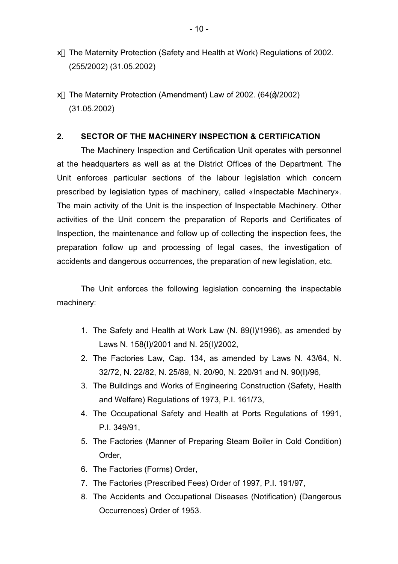- x The Maternity Protection (Safety and Health at Work) Regulations of 2002. (255/2002) (31.05.2002)
- x The Maternity Protection (Amendment) Law of 2002. (64( )/2002) (31.05.2002)

### **2. SECTOR OF THE MACHINERY INSPECTION & CERTIFICATION**

The Machinery Inspection and Certification Unit operates with personnel at the headquarters as well as at the District Offices of the Department. The Unit enforces particular sections of the labour legislation which concern prescribed by legislation types of machinery, called «Inspectable Machinery». The main activity of the Unit is the inspection of Inspectable Machinery. Other activities of the Unit concern the preparation of Reports and Certificates of Inspection, the maintenance and follow up of collecting the inspection fees, the preparation follow up and processing of legal cases, the investigation of accidents and dangerous occurrences, the preparation of new legislation, etc.

The Unit enforces the following legislation concerning the inspectable machinery:

- 1. The Safety and Health at Work Law (N. 89(I)/1996), as amended by Laws N. 158(I)/2001 and N. 25(I)/2002,
- 2. The Factories Law, Cap. 134, as amended by Laws N. 43/64, N. 32/72, N. 22/82, N. 25/89, N. 20/90, N. 220/91 and N. 90(I)/96,
- 3. The Buildings and Works of Engineering Construction (Safety, Health and Welfare) Regulations of 1973, P.I. 161/73,
- 4. The Occupational Safety and Health at Ports Regulations of 1991, P.I. 349/91,
- 5. The Factories (Manner of Preparing Steam Boiler in Cold Condition) Order,
- 6. The Factories (Forms) Order,
- 7. The Factories (Prescribed Fees) Order of 1997, P.I. 191/97,
- 8. The Accidents and Occupational Diseases (Notification) (Dangerous Occurrences) Order of 1953.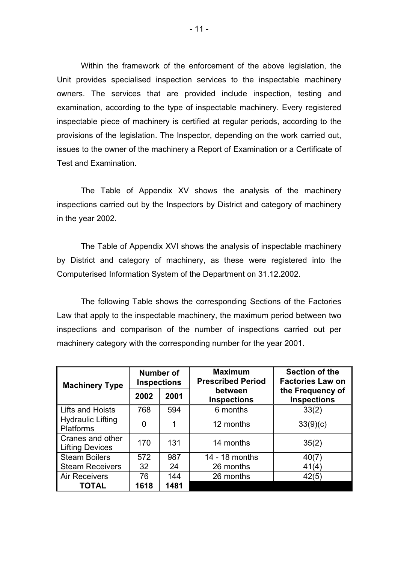Within the framework of the enforcement of the above legislation, the Unit provides specialised inspection services to the inspectable machinery owners. The services that are provided include inspection, testing and examination, according to the type of inspectable machinery. Every registered inspectable piece of machinery is certified at regular periods, according to the provisions of the legislation. The Inspector, depending on the work carried out, issues to the owner of the machinery a Report of Examination or a Certificate of Test and Examination.

The Table of Appendix XV shows the analysis of the machinery inspections carried out by the Inspectors by District and category of machinery in the year 2002.

The Table of Appendix XVI shows the analysis of inspectable machinery by District and category of machinery, as these were registered into the Computerised Information System of the Department on 31.12.2002.

The following Table shows the corresponding Sections of the Factories Law that apply to the inspectable machinery, the maximum period between two inspections and comparison of the number of inspections carried out per machinery category with the corresponding number for the year 2001.

| <b>Machinery Type</b>                        | <b>Number of</b><br><b>Inspections</b> |      | <b>Maximum</b><br><b>Prescribed Period</b> | Section of the<br><b>Factories Law on</b> |  |
|----------------------------------------------|----------------------------------------|------|--------------------------------------------|-------------------------------------------|--|
|                                              | 2002                                   | 2001 | between<br><b>Inspections</b>              | the Frequency of<br><b>Inspections</b>    |  |
| Lifts and Hoists                             | 768                                    | 594  | 6 months                                   | 33(2)                                     |  |
| <b>Hydraulic Lifting</b><br><b>Platforms</b> | 0                                      |      | 12 months                                  | 33(9)(c)                                  |  |
| Cranes and other<br><b>Lifting Devices</b>   | 170                                    | 131  | 14 months                                  | 35(2)                                     |  |
| <b>Steam Boilers</b>                         | 572                                    | 987  | 14 - 18 months                             | 40(7)                                     |  |
| <b>Steam Receivers</b>                       | 32                                     | 24   | 26 months                                  | 41(4)                                     |  |
| <b>Air Receivers</b>                         | 76                                     | 144  | 26 months                                  | 42(5)                                     |  |
| <b>TOTAL</b>                                 | 1618                                   | 1481 |                                            |                                           |  |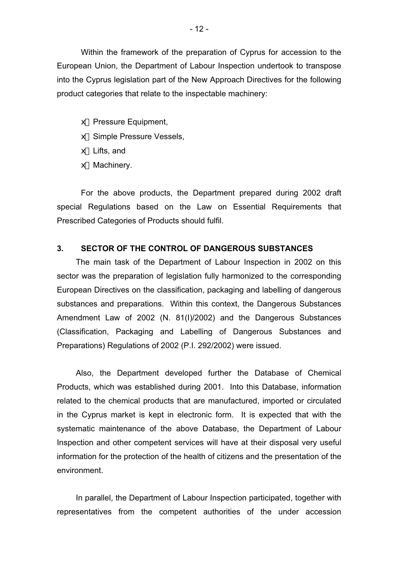Within the framework of the preparation of Cyprus for accession to the European Union, the Department of Labour Inspection undertook to transpose into the Cyprus legislation part of the New Approach Directives for the following product categories that relate to the inspectable machinery:

- $#$  Pressure Equipment,
- # Simple Pressure Vessels,
- $#$  Lifts, and
- $#$  Machinery.

For the above products, the Department prepared during 2002 draft special Regulations based on the Law on Essential Requirements that Prescribed Categories of Products should fulfil.

### **3. SECTOR OF THE CONTROL OF DANGEROUS SUBSTANCES**

 The main task of the Department of Labour Inspection in 2002 on this sector was the preparation of legislation fully harmonized to the corresponding European Directives on the classification, packaging and labelling of dangerous substances and preparations. Within this context, the Dangerous Substances Amendment Law of 2002 (N. 81(I)/2002) and the Dangerous Substances (Classification, Packaging and Labelling of Dangerous Substances and Preparations) Regulations of 2002 (P.I. 292/2002) were issued.

 Also, the Department developed further the Database of Chemical Products, which was established during 2001. Into this Database, information related to the chemical products that are manufactured, imported or circulated in the Cyprus market is kept in electronic form. It is expected that with the systematic maintenance of the above Database, the Department of Labour Inspection and other competent services will have at their disposal very useful information for the protection of the health of citizens and the presentation of the environment.

 In parallel, the Department of Labour Inspection participated, together with representatives from the competent authorities of the under accession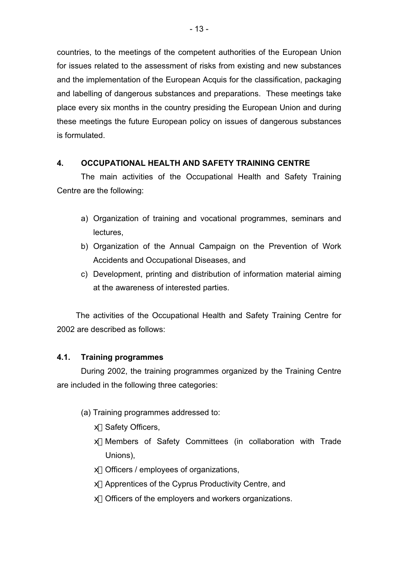countries, to the meetings of the competent authorities of the European Union for issues related to the assessment of risks from existing and new substances and the implementation of the European Acquis for the classification, packaging and labelling of dangerous substances and preparations. These meetings take place every six months in the country presiding the European Union and during these meetings the future European policy on issues of dangerous substances is formulated.

## **4. OCCUPATIONAL HEALTH AND SAFETY TRAINING CENTRE**

 The main activities of the Occupational Health and Safety Training Centre are the following:

- a) Organization of training and vocational programmes, seminars and lectures,
- b) Organization of the Annual Campaign on the Prevention of Work Accidents and Occupational Diseases, and
- c) Development, printing and distribution of information material aiming at the awareness of interested parties.

 The activities of the Occupational Health and Safety Training Centre for 2002 are described as follows:

## **4.1. Training programmes**

 During 2002, the training programmes organized by the Training Centre are included in the following three categories:

- (a) Training programmes addressed to:
	- x Safety Officers,
	- x Members of Safety Committees (in collaboration with Trade Unions),
	- x Officers / employees of organizations,
	- x Apprentices of the Cyprus Productivity Centre, and
	- x Officers of the employers and workers organizations.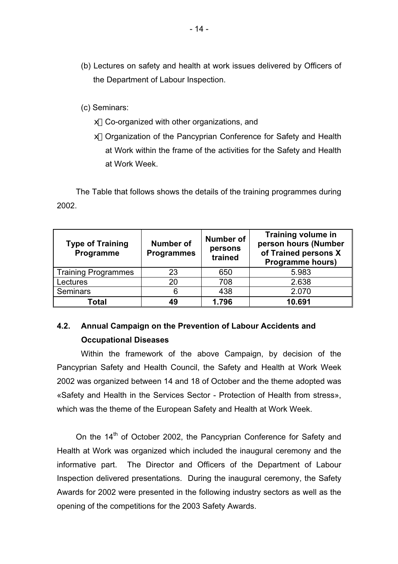(b) Lectures on safety and health at work issues delivered by Officers of the Department of Labour Inspection.

(c) Seminars:

- x Co-organized with other organizations, and
- x Organization of the Pancyprian Conference for Safety and Health at Work within the frame of the activities for the Safety and Health at Work Week.

 The Table that follows shows the details of the training programmes during 2002.

| <b>Type of Training</b><br>Programme | <b>Number of</b><br><b>Programmes</b> | <b>Number of</b><br>persons<br>trained | <b>Training volume in</b><br>person hours (Number<br>of Trained persons X<br><b>Programme hours)</b> |  |
|--------------------------------------|---------------------------------------|----------------------------------------|------------------------------------------------------------------------------------------------------|--|
| Training Programmes                  | 23                                    | 650                                    | 5.983                                                                                                |  |
| Lectures                             | 20                                    | 708                                    | 2.638                                                                                                |  |
| Seminars                             | ิค                                    | 438                                    | 2.070                                                                                                |  |
| Total                                | 49                                    | 1.796                                  | 10.691                                                                                               |  |

## **4.2. Annual Campaign on the Prevention of Labour Accidents and Occupational Diseases**

 Within the framework of the above Campaign, by decision of the Pancyprian Safety and Health Council, the Safety and Health at Work Week 2002 was organized between 14 and 18 of October and the theme adopted was «Safety and Health in the Services Sector - Protection of Health from stress», which was the theme of the European Safety and Health at Work Week.

On the 14<sup>th</sup> of October 2002, the Pancyprian Conference for Safety and Health at Work was organized which included the inaugural ceremony and the informative part. The Director and Officers of the Department of Labour Inspection delivered presentations. During the inaugural ceremony, the Safety Awards for 2002 were presented in the following industry sectors as well as the opening of the competitions for the 2003 Safety Awards.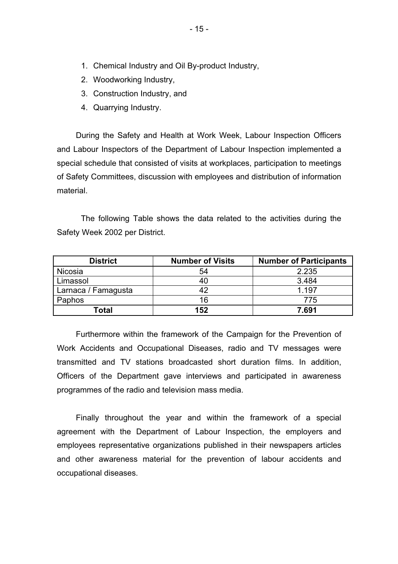- 1. Chemical Industry and Oil By-product Industry,
- 2. Woodworking Industry,
- 3. Construction Industry, and
- 4. Quarrying Industry.

 During the Safety and Health at Work Week, Labour Inspection Officers and Labour Inspectors of the Department of Labour Inspection implemented a special schedule that consisted of visits at workplaces, participation to meetings of Safety Committees, discussion with employees and distribution of information material.

The following Table shows the data related to the activities during the Safety Week 2002 per District.

| <b>District</b>     | <b>Number of Visits</b> | <b>Number of Participants</b> |
|---------------------|-------------------------|-------------------------------|
| Nicosia             | 54                      | 2.235                         |
| Limassol            | 40                      | 3.484                         |
| Larnaca / Famagusta |                         | 1.197                         |
| Paphos              | 16                      | 775                           |
| Total               | 152                     | 7.691                         |

 Furthermore within the framework of the Campaign for the Prevention of Work Accidents and Occupational Diseases, radio and TV messages were transmitted and TV stations broadcasted short duration films. In addition, Officers of the Department gave interviews and participated in awareness programmes of the radio and television mass media.

 Finally throughout the year and within the framework of a special agreement with the Department of Labour Inspection, the employers and employees representative organizations published in their newspapers articles and other awareness material for the prevention of labour accidents and occupational diseases.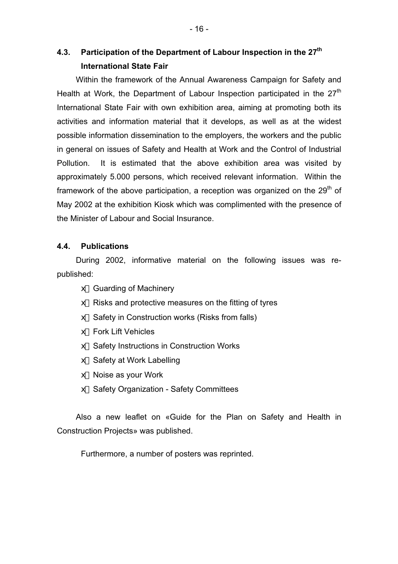## **4.3. Participation of the Department of Labour Inspection in the 27th International State Fair**

 Within the framework of the Annual Awareness Campaign for Safety and Health at Work, the Department of Labour Inspection participated in the 27<sup>th</sup> International State Fair with own exhibition area, aiming at promoting both its activities and information material that it develops, as well as at the widest possible information dissemination to the employers, the workers and the public in general on issues of Safety and Health at Work and the Control of Industrial Pollution. It is estimated that the above exhibition area was visited by approximately 5.000 persons, which received relevant information. Within the framework of the above participation, a reception was organized on the  $29<sup>th</sup>$  of May 2002 at the exhibition Kiosk which was complimented with the presence of the Minister of Labour and Social Insurance.

### **4.4. Publications**

 During 2002, informative material on the following issues was republished:

- $#$  Guarding of Machinery
- $\#$  Risks and protective measures on the fitting of tyres
- $#$  Safety in Construction works (Risks from falls)
- $#$  Fork Lift Vehicles
- $#$  Safety Instructions in Construction Works
- $#$  Safety at Work Labelling
- $\notin$  Noise as your Work
- $#$  Safety Organization Safety Committees

 Also a new leaflet on «Guide for the Plan on Safety and Health in Construction Projects» was published.

Furthermore, a number of posters was reprinted.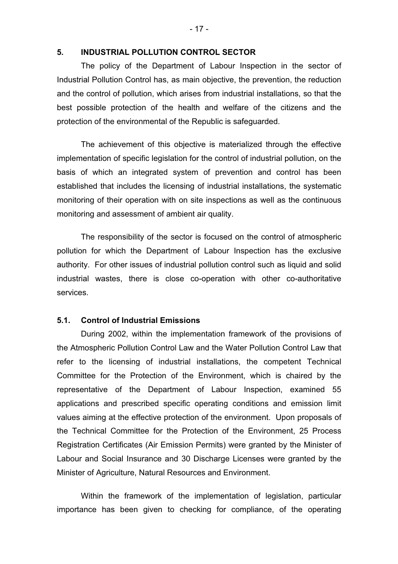#### **5. INDUSTRIAL POLLUTION CONTROL SECTOR**

The policy of the Department of Labour Inspection in the sector of Industrial Pollution Control has, as main objective, the prevention, the reduction and the control of pollution, which arises from industrial installations, so that the best possible protection of the health and welfare of the citizens and the protection of the environmental of the Republic is safeguarded.

The achievement of this objective is materialized through the effective implementation of specific legislation for the control of industrial pollution, on the basis of which an integrated system of prevention and control has been established that includes the licensing of industrial installations, the systematic monitoring of their operation with on site inspections as well as the continuous monitoring and assessment of ambient air quality.

The responsibility of the sector is focused on the control of atmospheric pollution for which the Department of Labour Inspection has the exclusive authority. For other issues of industrial pollution control such as liquid and solid industrial wastes, there is close co-operation with other co-authoritative services.

### **5.1. Control of Industrial Emissions**

During 2002, within the implementation framework of the provisions of the Atmospheric Pollution Control Law and the Water Pollution Control Law that refer to the licensing of industrial installations, the competent Technical Committee for the Protection of the Environment, which is chaired by the representative of the Department of Labour Inspection, examined 55 applications and prescribed specific operating conditions and emission limit values aiming at the effective protection of the environment. Upon proposals of the Technical Committee for the Protection of the Environment, 25 Process Registration Certificates (Air Emission Permits) were granted by the Minister of Labour and Social Insurance and 30 Discharge Licenses were granted by the Minister of Agriculture, Natural Resources and Environment.

Within the framework of the implementation of legislation, particular importance has been given to checking for compliance, of the operating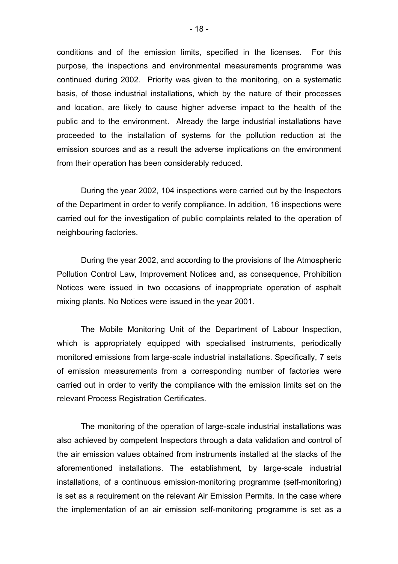conditions and of the emission limits, specified in the licenses. For this purpose, the inspections and environmental measurements programme was continued during 2002. Priority was given to the monitoring, on a systematic basis, of those industrial installations, which by the nature of their processes and location, are likely to cause higher adverse impact to the health of the public and to the environment. Already the large industrial installations have proceeded to the installation of systems for the pollution reduction at the emission sources and as a result the adverse implications on the environment from their operation has been considerably reduced.

During the year 2002, 104 inspections were carried out by the Inspectors of the Department in order to verify compliance. In addition, 16 inspections were carried out for the investigation of public complaints related to the operation of neighbouring factories.

 During the year 2002, and according to the provisions of the Atmospheric Pollution Control Law, Improvement Notices and, as consequence, Prohibition Notices were issued in two occasions of inappropriate operation of asphalt mixing plants. No Notices were issued in the year 2001.

The Mobile Monitoring Unit of the Department of Labour Inspection, which is appropriately equipped with specialised instruments, periodically monitored emissions from large-scale industrial installations. Specifically, 7 sets of emission measurements from a corresponding number of factories were carried out in order to verify the compliance with the emission limits set on the relevant Process Registration Certificates.

The monitoring of the operation of large-scale industrial installations was also achieved by competent Inspectors through a data validation and control of the air emission values obtained from instruments installed at the stacks of the aforementioned installations. The establishment, by large-scale industrial installations, of a continuous emission-monitoring programme (self-monitoring) is set as a requirement on the relevant Air Emission Permits. In the case where the implementation of an air emission self-monitoring programme is set as a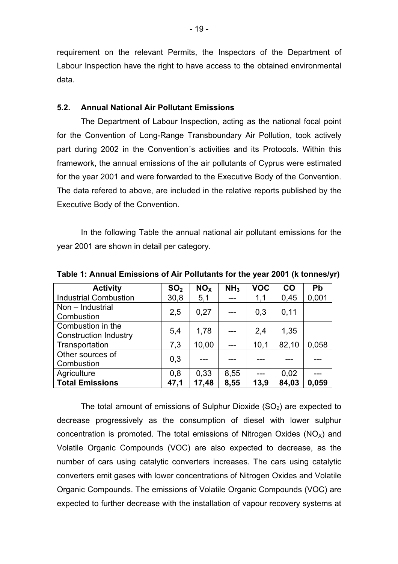requirement on the relevant Permits, the Inspectors of the Department of Labour Inspection have the right to have access to the obtained environmental data.

#### **5.2. Annual National Air Pollutant Emissions**

 The Department of Labour Inspection, acting as the national focal point for the Convention of Long-Range Transboundary Air Pollution, took actively part during 2002 in the Convention´s activities and its Protocols. Within this framework, the annual emissions of the air pollutants of Cyprus were estimated for the year 2001 and were forwarded to the Executive Body of the Convention. The data refered to above, are included in the relative reports published by the Executive Body of the Convention.

 In the following Table the annual national air pollutant emissions for the year 2001 are shown in detail per category.

| <b>Activity</b>                                   | SO <sub>2</sub> | NO <sub>x</sub> | NH <sub>3</sub> | <b>VOC</b> | CO    | Pb    |
|---------------------------------------------------|-----------------|-----------------|-----------------|------------|-------|-------|
| <b>Industrial Combustion</b>                      | 30,8            | 5,1             | ---             | 1,1        | 0,45  | 0,001 |
| Non - Industrial<br>Combustion                    | 2,5             | 0,27            | $---$           | 0,3        | 0,11  |       |
| Combustion in the<br><b>Construction Industry</b> | 5,4             | 1,78            |                 | 2,4        | 1,35  |       |
| Transportation                                    | 7,3             | 10,00           |                 | 10,1       | 82,10 | 0.058 |
| Other sources of<br>Combustion                    | 0,3             |                 |                 |            |       |       |
| Agriculture                                       | 0,8             | 0.33            | 8,55            |            | 0,02  |       |
| <b>Total Emissions</b>                            | 47,1            | 17,48           | 8,55            | 13,9       | 84,03 | 0,059 |

**Table 1: Annual Emissions of Air Pollutants for the year 2001 (k tonnes/yr)** 

The total amount of emissions of Sulphur Dioxide  $(SO<sub>2</sub>)$  are expected to decrease progressively as the consumption of diesel with lower sulphur concentration is promoted. The total emissions of Nitrogen Oxides ( $NO<sub>X</sub>$ ) and Volatile Organic Compounds (VOC) are also expected to decrease, as the number of cars using catalytic converters increases. The cars using catalytic converters emit gases with lower concentrations of Nitrogen Oxides and Volatile Organic Compounds. The emissions of Volatile Organic Compounds (VOC) are expected to further decrease with the installation of vapour recovery systems at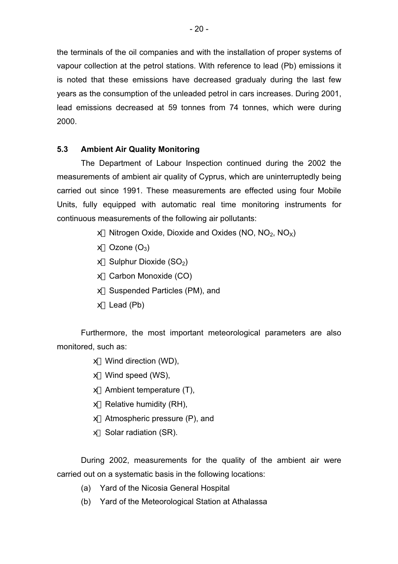the terminals of the oil companies and with the installation of proper systems of vapour collection at the petrol stations. With reference to lead (Pb) emissions it is noted that these emissions have decreased gradualy during the last few years as the consumption of the unleaded petrol in cars increases. During 2001, lead emissions decreased at 59 tonnes from 74 tonnes, which were during 2000.

## **5.3 Ambient Air Quality Monitoring**

The Department of Labour Inspection continued during the 2002 the measurements of ambient air quality of Cyprus, which are uninterruptedly being carried out since 1991. These measurements are effected using four Mobile Units, fully equipped with automatic real time monitoring instruments for continuous measurements of the following air pollutants:

- $\notin$  Nitrogen Oxide, Dioxide and Oxides (NO, NO<sub>2</sub>, NO<sub>x</sub>)
- $\#$  Ozone (O<sub>3</sub>)
- $\#$  Sulphur Dioxide (SO<sub>2</sub>)
- $#$  Carbon Monoxide (CO)
- $#$  Suspended Particles (PM), and
- $#$  Lead (Pb)

Furthermore, the most important meteorological parameters are also monitored, such as:

- $\notin$  Wind direction (WD),
- $\notin$  Wind speed (WS),
- $\notin$  Ambient temperature (T),
- $\#$  Relative humidity (RH),
- $#$  Atmospheric pressure (P), and
- $#$  Solar radiation (SR).

During 2002, measurements for the quality of the ambient air were carried out on a systematic basis in the following locations:

- (a) Yard of the Nicosia General Hospital
- (b) Yard of the Meteorological Station at Athalassa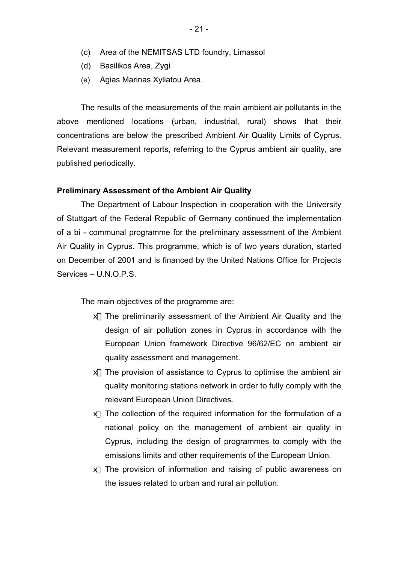- (d) Basilikos Area, Zygi
- (e) Agias Marinas Xyliatou Area.

The results of the measurements of the main ambient air pollutants in the above mentioned locations (urban, industrial, rural) shows that their concentrations are below the prescribed Ambient Air Quality Limits of Cyprus. Relevant measurement reports, referring to the Cyprus ambient air quality, are published periodically.

#### **Preliminary Assessment of the Ambient Air Quality**

The Department of Labour Inspection in cooperation with the University of Stuttgart of the Federal Republic of Germany continued the implementation of a bi - communal programme for the preliminary assessment of the Ambient Air Quality in Cyprus. This programme, which is of two years duration, started on December of 2001 and is financed by the United Nations Office for Projects Services – U.N.O.P.S.

The main objectives of the programme are:

- $#$  The preliminarily assessment of the Ambient Air Quality and the design of air pollution zones in Cyprus in accordance with the European Union framework Directive 96/62/EC on ambient air quality assessment and management.
- $#$  The provision of assistance to Cyprus to optimise the ambient air quality monitoring stations network in order to fully comply with the relevant European Union Directives.
- $#$  The collection of the required information for the formulation of a national policy on the management of ambient air quality in Cyprus, including the design of programmes to comply with the emissions limits and other requirements of the European Union.
- $#$  The provision of information and raising of public awareness on the issues related to urban and rural air pollution.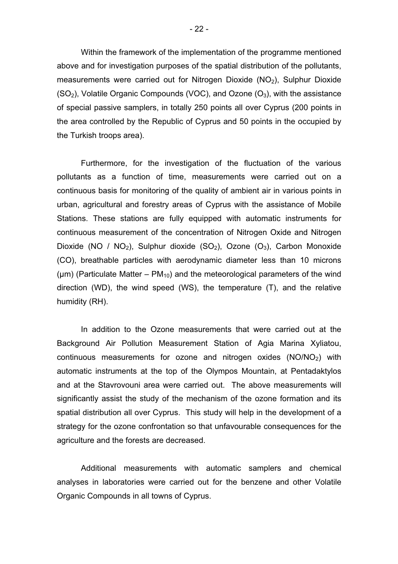Within the framework of the implementation of the programme mentioned above and for investigation purposes of the spatial distribution of the pollutants, measurements were carried out for Nitrogen Dioxide  $(NO<sub>2</sub>)$ , Sulphur Dioxide  $(SO<sub>2</sub>)$ , Volatile Organic Compounds (VOC), and Ozone  $(O<sub>3</sub>)$ , with the assistance of special passive samplers, in totally 250 points all over Cyprus (200 points in the area controlled by the Republic of Cyprus and 50 points in the occupied by the Turkish troops area).

Furthermore, for the investigation of the fluctuation of the various pollutants as a function of time, measurements were carried out on a continuous basis for monitoring of the quality of ambient air in various points in urban, agricultural and forestry areas of Cyprus with the assistance of Mobile Stations. These stations are fully equipped with automatic instruments for continuous measurement of the concentration of Nitrogen Oxide and Nitrogen Dioxide (NO / NO<sub>2</sub>), Sulphur dioxide (SO<sub>2</sub>), Ozone (O<sub>3</sub>), Carbon Monoxide (CO), breathable particles with aerodynamic diameter less than 10 microns ( $\mu$ m) (Particulate Matter – PM<sub>10</sub>) and the meteorological parameters of the wind direction (WD), the wind speed (WS), the temperature (T), and the relative humidity (RH).

In addition to the Ozone measurements that were carried out at the Background Air Pollution Measurement Station of Agia Marina Xyliatou, continuous measurements for ozone and nitrogen oxides  $(NO/NO<sub>2</sub>)$  with automatic instruments at the top of the Olympos Mountain, at Pentadaktylos and at the Stavrovouni area were carried out. The above measurements will significantly assist the study of the mechanism of the ozone formation and its spatial distribution all over Cyprus. This study will help in the development of a strategy for the ozone confrontation so that unfavourable consequences for the agriculture and the forests are decreased.

Additional measurements with automatic samplers and chemical analyses in laboratories were carried out for the benzene and other Volatile Organic Compounds in all towns of Cyprus.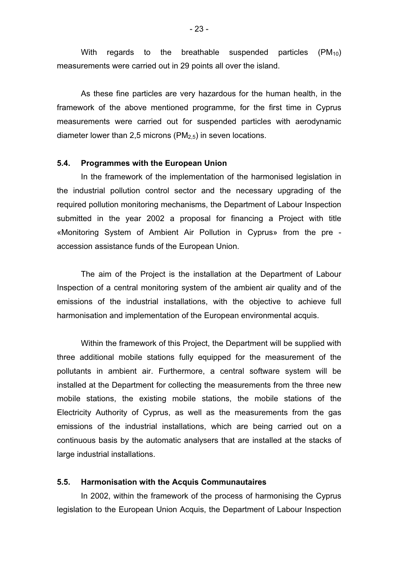With regards to the breathable suspended particles  $(PM_{10})$ measurements were carried out in 29 points all over the island.

As these fine particles are very hazardous for the human health, in the framework of the above mentioned programme, for the first time in Cyprus measurements were carried out for suspended particles with aerodynamic diameter lower than 2,5 microns ( $PM<sub>2.5</sub>$ ) in seven locations.

#### **5.4. Programmes with the European Union**

 In the framework of the implementation of the harmonised legislation in the industrial pollution control sector and the necessary upgrading of the required pollution monitoring mechanisms, the Department of Labour Inspection submitted in the year 2002 a proposal for financing a Project with title «Monitoring System of Ambient Air Pollution in Cyprus» from the pre accession assistance funds of the European Union.

 The aim of the Project is the installation at the Department of Labour Inspection of a central monitoring system of the ambient air quality and of the emissions of the industrial installations, with the objective to achieve full harmonisation and implementation of the European environmental acquis.

 Within the framework of this Project, the Department will be supplied with three additional mobile stations fully equipped for the measurement of the pollutants in ambient air. Furthermore, a central software system will be installed at the Department for collecting the measurements from the three new mobile stations, the existing mobile stations, the mobile stations of the Electricity Authority of Cyprus, as well as the measurements from the gas emissions of the industrial installations, which are being carried out on a continuous basis by the automatic analysers that are installed at the stacks of large industrial installations.

#### **5.5. Harmonisation with the Acquis Communautaires**

 In 2002, within the framework of the process of harmonising the Cyprus legislation to the European Union Acquis, the Department of Labour Inspection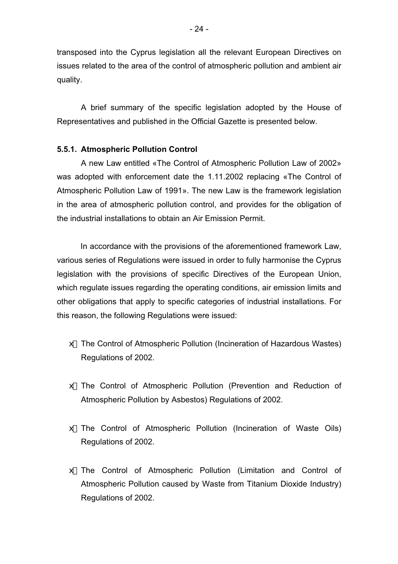transposed into the Cyprus legislation all the relevant European Directives on issues related to the area of the control of atmospheric pollution and ambient air quality.

 A brief summary of the specific legislation adopted by the House of Representatives and published in the Official Gazette is presented below.

## **5.5.1. Atmospheric Pollution Control**

A new Law entitled «The Control of Atmospheric Pollution Law of 2002» was adopted with enforcement date the 1.11.2002 replacing «The Control of Atmospheric Pollution Law of 1991». The new Law is the framework legislation in the area of atmospheric pollution control, and provides for the obligation of the industrial installations to obtain an Air Emission Permit.

In accordance with the provisions of the aforementioned framework Law, various series of Regulations were issued in order to fully harmonise the Cyprus legislation with the provisions of specific Directives of the European Union, which regulate issues regarding the operating conditions, air emission limits and other obligations that apply to specific categories of industrial installations. For this reason, the following Regulations were issued:

- $#$  The Control of Atmospheric Pollution (Incineration of Hazardous Wastes) Regulations of 2002.
- x The Control of Atmospheric Pollution (Prevention and Reduction of Atmospheric Pollution by Asbestos) Regulations of 2002.
- $#$  The Control of Atmospheric Pollution (Incineration of Waste Oils) Regulations of 2002.
- x The Control of Atmospheric Pollution (Limitation and Control of Atmospheric Pollution caused by Waste from Titanium Dioxide Industry) Regulations of 2002.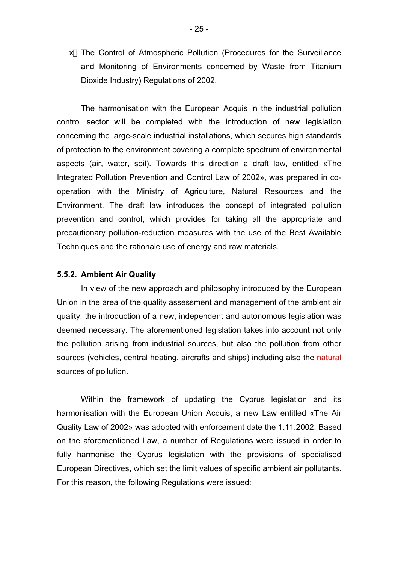$#$  The Control of Atmospheric Pollution (Procedures for the Surveillance and Monitoring of Environments concerned by Waste from Titanium Dioxide Industry) Regulations of 2002.

The harmonisation with the European Acquis in the industrial pollution control sector will be completed with the introduction of new legislation concerning the large-scale industrial installations, which secures high standards of protection to the environment covering a complete spectrum of environmental aspects (air, water, soil). Towards this direction a draft law, entitled «The Integrated Pollution Prevention and Control Law of 2002», was prepared in cooperation with the Ministry of Agriculture, Natural Resources and the Environment. The draft law introduces the concept of integrated pollution prevention and control, which provides for taking all the appropriate and precautionary pollution-reduction measures with the use of the Best Available Techniques and the rationale use of energy and raw materials.

#### **5.5.2. Ambient Air Quality**

 In view of the new approach and philosophy introduced by the European Union in the area of the quality assessment and management of the ambient air quality, the introduction of a new, independent and autonomous legislation was deemed necessary. The aforementioned legislation takes into account not only the pollution arising from industrial sources, but also the pollution from other sources (vehicles, central heating, aircrafts and ships) including also the natural sources of pollution.

 Within the framework of updating the Cyprus legislation and its harmonisation with the European Union Acquis, a new Law entitled «The Air Quality Law of 2002» was adopted with enforcement date the 1.11.2002. Based on the aforementioned Law, a number of Regulations were issued in order to fully harmonise the Cyprus legislation with the provisions of specialised European Directives, which set the limit values of specific ambient air pollutants. For this reason, the following Regulations were issued: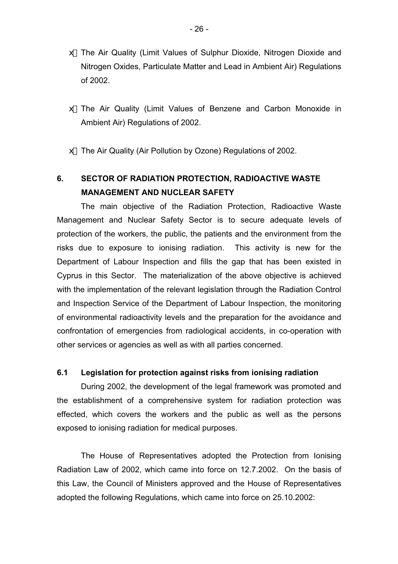- $\#$  The Air Quality (Limit Values of Sulphur Dioxide, Nitrogen Dioxide and Nitrogen Oxides, Particulate Matter and Lead in Ambient Air) Regulations of 2002.
- $#$  The Air Quality (Limit Values of Benzene and Carbon Monoxide in Ambient Air) Regulations of 2002.
- $#$  The Air Quality (Air Pollution by Ozone) Regulations of 2002.

## **6. SECTOR OF RADIATION PROTECTION, RADIOACTIVE WASTE MANAGEMENT AND NUCLEAR SAFETY**

The main objective of the Radiation Protection, Radioactive Waste Management and Nuclear Safety Sector is to secure adequate levels of protection of the workers, the public, the patients and the environment from the risks due to exposure to ionising radiation. This activity is new for the Department of Labour Inspection and fills the gap that has been existed in Cyprus in this Sector. The materialization of the above objective is achieved with the implementation of the relevant legislation through the Radiation Control and Inspection Service of the Department of Labour Inspection, the monitoring of environmental radioactivity levels and the preparation for the avoidance and confrontation of emergencies from radiological accidents, in co-operation with other services or agencies as well as with all parties concerned.

#### **6.1 Legislation for protection against risks from ionising radiation**

During 2002, the development of the legal framework was promoted and the establishment of a comprehensive system for radiation protection was effected, which covers the workers and the public as well as the persons exposed to ionising radiation for medical purposes.

 The House of Representatives adopted the Protection from Ionising Radiation Law of 2002, which came into force on 12.7.2002. On the basis of this Law, the Council of Ministers approved and the House of Representatives adopted the following Regulations, which came into force on 25.10.2002: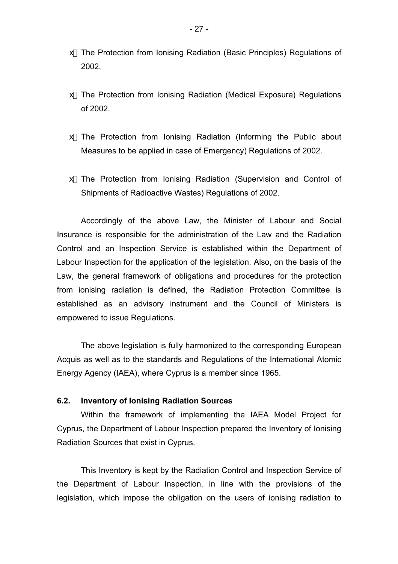- x The Protection from Ionising Radiation (Basic Principles) Regulations of 2002.
- x The Protection from Ionising Radiation (Medical Exposure) Regulations of 2002.
- x The Protection from Ionising Radiation (Informing the Public about Measures to be applied in case of Emergency) Regulations of 2002.
- x The Protection from Ionising Radiation (Supervision and Control of Shipments of Radioactive Wastes) Regulations of 2002.

Accordingly of the above Law, the Minister of Labour and Social Insurance is responsible for the administration of the Law and the Radiation Control and an Inspection Service is established within the Department of Labour Inspection for the application of the legislation. Also, on the basis of the Law, the general framework of obligations and procedures for the protection from ionising radiation is defined, the Radiation Protection Committee is established as an advisory instrument and the Council of Ministers is empowered to issue Regulations.

The above legislation is fully harmonized to the corresponding European Acquis as well as to the standards and Regulations of the International Atomic Energy Agency (IAEA), where Cyprus is a member since 1965.

#### **6.2. Inventory of Ionising Radiation Sources**

Within the framework of implementing the IAEA Model Project for Cyprus, the Department of Labour Inspection prepared the Inventory of Ionising Radiation Sources that exist in Cyprus.

This Inventory is kept by the Radiation Control and Inspection Service of the Department of Labour Inspection, in line with the provisions of the legislation, which impose the obligation on the users of ionising radiation to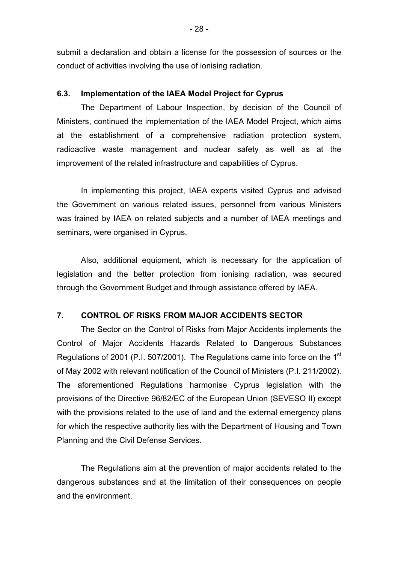submit a declaration and obtain a license for the possession of sources or the conduct of activities involving the use of ionising radiation.

#### **6.3. Implementation of the IAEA Model Project for Cyprus**

The Department of Labour Inspection, by decision of the Council of Ministers, continued the implementation of the IAEA Model Project, which aims at the establishment of a comprehensive radiation protection system, radioactive waste management and nuclear safety as well as at the improvement of the related infrastructure and capabilities of Cyprus.

In implementing this project, IAEA experts visited Cyprus and advised the Government on various related issues, personnel from various Ministers was trained by IAEA on related subjects and a number of IAEA meetings and seminars, were organised in Cyprus.

Also, additional equipment, which is necessary for the application of legislation and the better protection from ionising radiation, was secured through the Government Budget and through assistance offered by IAEA.

### **7. CONTROL OF RISKS FROM MAJOR ACCIDENTS SECTOR**

 The Sector on the Control of Risks from Major Accidents implements the Control of Major Accidents Hazards Related to Dangerous Substances Regulations of 2001 (P.I. 507/2001). The Regulations came into force on the 1<sup>st</sup> of May 2002 with relevant notification of the Council of Ministers (P.I. 211/2002). The aforementioned Regulations harmonise Cyprus legislation with the provisions of the Directive 96/82/EC of the European Union (SEVESO II) except with the provisions related to the use of land and the external emergency plans for which the respective authority lies with the Department of Housing and Town Planning and the Civil Defense Services.

 The Regulations aim at the prevention of major accidents related to the dangerous substances and at the limitation of their consequences on people and the environment.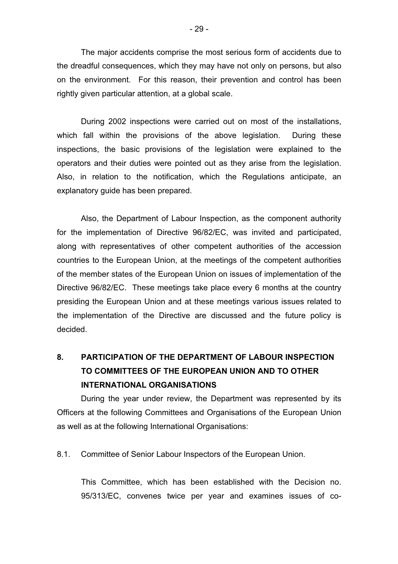The major accidents comprise the most serious form of accidents due to the dreadful consequences, which they may have not only on persons, but also on the environment. For this reason, their prevention and control has been rightly given particular attention, at a global scale.

 During 2002 inspections were carried out on most of the installations, which fall within the provisions of the above legislation. During these inspections, the basic provisions of the legislation were explained to the operators and their duties were pointed out as they arise from the legislation. Also, in relation to the notification, which the Regulations anticipate, an explanatory guide has been prepared.

 Also, the Department of Labour Inspection, as the component authority for the implementation of Directive 96/82/EC, was invited and participated, along with representatives of other competent authorities of the accession countries to the European Union, at the meetings of the competent authorities of the member states of the European Union on issues of implementation of the Directive 96/82/EC. These meetings take place every 6 months at the country presiding the European Union and at these meetings various issues related to the implementation of the Directive are discussed and the future policy is decided.

## **8. PARTICIPATION OF THE DEPARTMENT OF LABOUR INSPECTION TO COMMITTEES OF THE EUROPEAN UNION AND TO OTHER INTERNATIONAL ORGANISATIONS**

 During the year under review, the Department was represented by its Officers at the following Committees and Organisations of the European Union as well as at the following International Organisations:

8.1. Committee of Senior Labour Inspectors of the European Union.

This Committee, which has been established with the Decision no. 95/313/EC, convenes twice per year and examines issues of co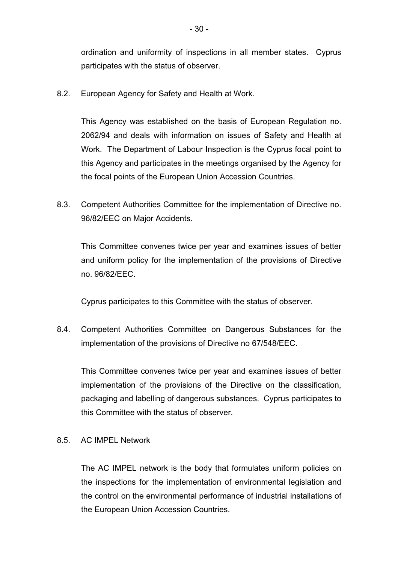ordination and uniformity of inspections in all member states. Cyprus participates with the status of observer.

8.2. European Agency for Safety and Health at Work.

This Agency was established on the basis of European Regulation no. 2062/94 and deals with information on issues of Safety and Health at Work. The Department of Labour Inspection is the Cyprus focal point to this Agency and participates in the meetings organised by the Agency for the focal points of the European Union Accession Countries.

8.3. Competent Authorities Committee for the implementation of Directive no. 96/82/EEC on Major Accidents.

This Committee convenes twice per year and examines issues of better and uniform policy for the implementation of the provisions of Directive no. 96/82/EEC.

Cyprus participates to this Committee with the status of observer.

8.4. Competent Authorities Committee on Dangerous Substances for the implementation of the provisions of Directive no 67/548/EEC.

This Committee convenes twice per year and examines issues of better implementation of the provisions of the Directive on the classification, packaging and labelling of dangerous substances. Cyprus participates to this Committee with the status of observer.

8.5. AC IMPEL Network

The AC IMPEL network is the body that formulates uniform policies on the inspections for the implementation of environmental legislation and the control on the environmental performance of industrial installations of the European Union Accession Countries.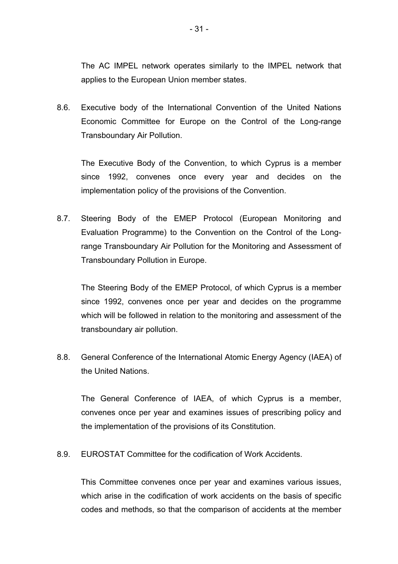The AC IMPEL network operates similarly to the IMPEL network that applies to the European Union member states.

8.6. Executive body of the International Convention of the United Nations Economic Committee for Europe on the Control of the Long-range Transboundary Air Pollution.

The Executive Body of the Convention, to which Cyprus is a member since 1992, convenes once every year and decides on the implementation policy of the provisions of the Convention.

8.7. Steering Body of the EMEP Protocol (European Monitoring and Evaluation Programme) to the Convention on the Control of the Longrange Transboundary Air Pollution for the Monitoring and Assessment of Transboundary Pollution in Europe.

The Steering Body of the EMEP Protocol, of which Cyprus is a member since 1992, convenes once per year and decides on the programme which will be followed in relation to the monitoring and assessment of the transboundary air pollution.

8.8. General Conference of the International Atomic Energy Agency (IAEA) of the United Nations.

The General Conference of IAEA, of which Cyprus is a member, convenes once per year and examines issues of prescribing policy and the implementation of the provisions of its Constitution.

8.9. EUROSTAT Committee for the codification of Work Accidents.

This Committee convenes once per year and examines various issues, which arise in the codification of work accidents on the basis of specific codes and methods, so that the comparison of accidents at the member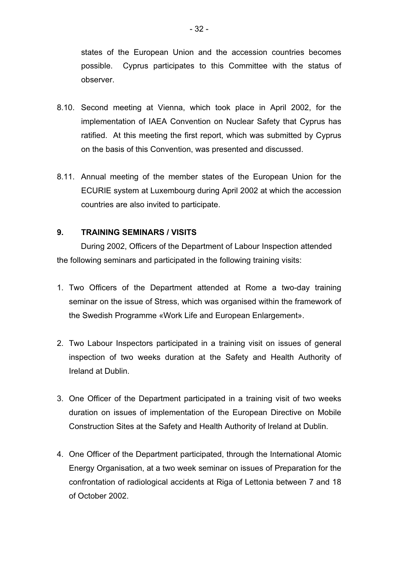states of the European Union and the accession countries becomes possible. Cyprus participates to this Committee with the status of observer.

- 8.10. Second meeting at Vienna, which took place in April 2002, for the implementation of IAEA Convention on Nuclear Safety that Cyprus has ratified. At this meeting the first report, which was submitted by Cyprus on the basis of this Convention, was presented and discussed.
- 8.11. Annual meeting of the member states of the European Union for the ECURIE system at Luxembourg during April 2002 at which the accession countries are also invited to participate.

## **9. TRAINING SEMINARS / VISITS**

During 2002, Officers of the Department of Labour Inspection attended the following seminars and participated in the following training visits:

- 1. Two Officers of the Department attended at Rome a two-day training seminar on the issue of Stress, which was organised within the framework of the Swedish Programme «Work Life and European Enlargement».
- 2. Two Labour Inspectors participated in a training visit on issues of general inspection of two weeks duration at the Safety and Health Authority of Ireland at Dublin.
- 3. One Officer of the Department participated in a training visit of two weeks duration on issues of implementation of the European Directive on Mobile Construction Sites at the Safety and Health Authority of Ireland at Dublin.
- 4. One Officer of the Department participated, through the International Atomic Energy Organisation, at a two week seminar on issues of Preparation for the confrontation of radiological accidents at Riga of Lettonia between 7 and 18 of October 2002.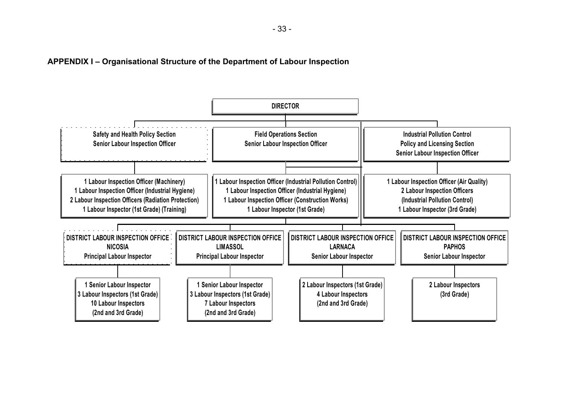**APPENDIX I – Organisational Structure of the Department of Labour Inspection** 

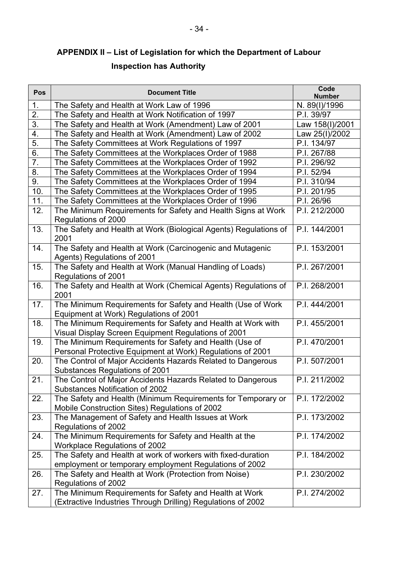# **APPENDIX II – List of Legislation for which the Department of Labour Inspection has Authority**

| Pos              | <b>Document Title</b>                                                                                                  | Code<br><b>Number</b> |
|------------------|------------------------------------------------------------------------------------------------------------------------|-----------------------|
| 1.               | The Safety and Health at Work Law of 1996                                                                              | N. 89(I)/1996         |
| 2.               | The Safety and Health at Work Notification of 1997                                                                     | P.I. 39/97            |
| $\overline{3}$ . | The Safety and Health at Work (Amendment) Law of 2001                                                                  | Law 158(I)/2001       |
| 4.               | The Safety and Health at Work (Amendment) Law of 2002                                                                  | Law 25(I)/2002        |
| $\overline{5}$ . | The Safety Committees at Work Regulations of 1997                                                                      | P.I. 134/97           |
| 6.               | The Safety Committees at the Workplaces Order of 1988                                                                  | P.I. 267/88           |
| $\overline{7}$ . | The Safety Committees at the Workplaces Order of 1992                                                                  | P.I. 296/92           |
| 8.               | The Safety Committees at the Workplaces Order of 1994                                                                  | P.I. 52/94            |
| 9.               | The Safety Committees at the Workplaces Order of 1994                                                                  | P.I. 310/94           |
| 10.              | The Safety Committees at the Workplaces Order of 1995                                                                  | P.I. 201/95           |
| 11.              | The Safety Committees at the Workplaces Order of 1996                                                                  | P.I. 26/96            |
| 12.              | The Minimum Requirements for Safety and Health Signs at Work                                                           | P.I. 212/2000         |
|                  | Regulations of 2000                                                                                                    |                       |
| 13.              | The Safety and Health at Work (Biological Agents) Regulations of<br>2001                                               | P.I. 144/2001         |
| 14.              | The Safety and Health at Work (Carcinogenic and Mutagenic<br>Agents) Regulations of 2001                               | P.I. 153/2001         |
| 15.              | The Safety and Health at Work (Manual Handling of Loads)<br>Regulations of 2001                                        | P.I. 267/2001         |
| 16.              | The Safety and Health at Work (Chemical Agents) Regulations of<br>2001                                                 | P.I. 268/2001         |
| 17.              | The Minimum Requirements for Safety and Health (Use of Work                                                            | P.I. 444/2001         |
|                  | Equipment at Work) Regulations of 2001                                                                                 |                       |
| 18.              | The Minimum Requirements for Safety and Health at Work with<br>Visual Display Screen Equipment Regulations of 2001     | P.I. 455/2001         |
| 19.              | The Minimum Requirements for Safety and Health (Use of<br>Personal Protective Equipment at Work) Regulations of 2001   | P.I. 470/2001         |
| 20.              | The Control of Major Accidents Hazards Related to Dangerous<br>Substances Regulations of 2001                          | P.I. 507/2001         |
| 21.              | The Control of Major Accidents Hazards Related to Dangerous<br><b>Substances Notification of 2002</b>                  | P.I. 211/2002         |
| 22.              | The Safety and Health (Minimum Requirements for Temporary or                                                           | P.I. 172/2002         |
|                  | Mobile Construction Sites) Regulations of 2002                                                                         |                       |
| 23.              | The Management of Safety and Health Issues at Work                                                                     | P.I. 173/2002         |
|                  | Regulations of 2002                                                                                                    |                       |
| 24.              | The Minimum Requirements for Safety and Health at the                                                                  | P.I. 174/2002         |
|                  | <b>Workplace Regulations of 2002</b>                                                                                   |                       |
| 25.              | The Safety and Health at work of workers with fixed-duration                                                           | P.I. 184/2002         |
|                  | employment or temporary employment Regulations of 2002                                                                 |                       |
| 26.              | The Safety and Health at Work (Protection from Noise)<br>Regulations of 2002                                           | P.I. 230/2002         |
| 27.              | The Minimum Requirements for Safety and Health at Work<br>(Extractive Industries Through Drilling) Regulations of 2002 | P.I. 274/2002         |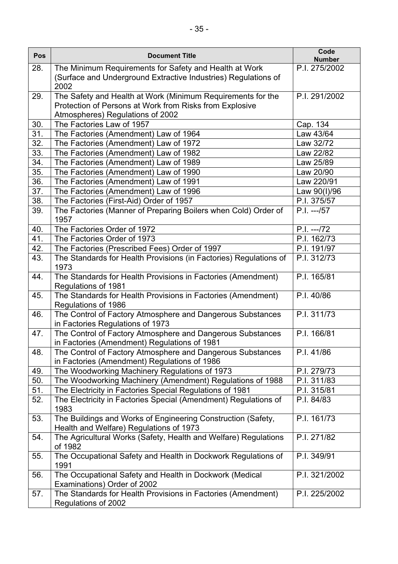| Pos        | <b>Document Title</b>                                                      | Code<br><b>Number</b>    |
|------------|----------------------------------------------------------------------------|--------------------------|
| 28.        | The Minimum Requirements for Safety and Health at Work                     | P.I. 275/2002            |
|            | (Surface and Underground Extractive Industries) Regulations of             |                          |
|            | 2002                                                                       |                          |
| 29.        | The Safety and Health at Work (Minimum Requirements for the                | P.I. 291/2002            |
|            | Protection of Persons at Work from Risks from Explosive                    |                          |
|            | Atmospheres) Regulations of 2002                                           |                          |
| 30.        | The Factories Law of 1957                                                  | Cap. 134                 |
| 31.        | The Factories (Amendment) Law of 1964                                      | Law 43/64                |
| 32.        | The Factories (Amendment) Law of 1972                                      | Law 32/72                |
| 33.        | The Factories (Amendment) Law of 1982                                      | Law 22/82                |
| 34.        | The Factories (Amendment) Law of 1989                                      | Law 25/89                |
| 35.        | The Factories (Amendment) Law of 1990                                      | Law 20/90                |
| 36.        | The Factories (Amendment) Law of 1991                                      | Law 220/91               |
| 37.        | The Factories (Amendment) Law of 1996                                      | Law 90(I)/96             |
| 38.        | The Factories (First-Aid) Order of 1957                                    | P.I. 375/57              |
| 39.        | The Factories (Manner of Preparing Boilers when Cold) Order of<br>1957     | $P.I. -- -/57$           |
| 40.        | The Factories Order of 1972                                                | $P.I. -- -72$            |
| 41.        | The Factories Order of 1973                                                | P.I. 162/73              |
| 42.        | The Factories (Prescribed Fees) Order of 1997                              | P.I. 191/97              |
| 43.        | The Standards for Health Provisions (in Factories) Regulations of          | $\overline{P.I.}$ 312/73 |
|            | 1973                                                                       |                          |
| 44.        | The Standards for Health Provisions in Factories (Amendment)               | P.I. 165/81              |
|            | <b>Regulations of 1981</b>                                                 |                          |
| 45.        | The Standards for Health Provisions in Factories (Amendment)               | P.I. 40/86               |
|            | Regulations of 1986                                                        |                          |
| 46.        | The Control of Factory Atmosphere and Dangerous Substances                 | P.I. 311/73              |
|            | in Factories Regulations of 1973                                           |                          |
| 47.        | The Control of Factory Atmosphere and Dangerous Substances                 | P.I. 166/81              |
|            | in Factories (Amendment) Regulations of 1981                               |                          |
| 48.        | The Control of Factory Atmosphere and Dangerous Substances                 | P.I. 41/86               |
|            | in Factories (Amendment) Regulations of 1986                               |                          |
| 49.        | The Woodworking Machinery Regulations of 1973                              | P.I. 279/73              |
| 50.<br>51. | The Woodworking Machinery (Amendment) Regulations of 1988                  | P.I. 311/83              |
|            | The Electricity in Factories Special Regulations of 1981                   | P.I. 315/81              |
| 52.        | The Electricity in Factories Special (Amendment) Regulations of<br>1983    | P.I. 84/83               |
| 53.        | The Buildings and Works of Engineering Construction (Safety,               | P.I. 161/73              |
|            | Health and Welfare) Regulations of 1973                                    |                          |
| 54.        | The Agricultural Works (Safety, Health and Welfare) Regulations<br>of 1982 | P.I. 271/82              |
| 55.        | The Occupational Safety and Health in Dockwork Regulations of<br>1991      | P.I. 349/91              |
| 56.        | The Occupational Safety and Health in Dockwork (Medical                    | P.I. 321/2002            |
|            | Examinations) Order of 2002                                                |                          |
| 57.        | The Standards for Health Provisions in Factories (Amendment)               | P.I. 225/2002            |
|            | Regulations of 2002                                                        |                          |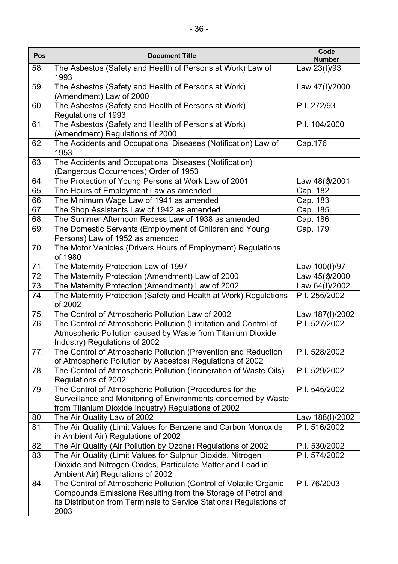| Pos | <b>Document Title</b>                                                                                                                                                                                            | Code<br><b>Number</b> |
|-----|------------------------------------------------------------------------------------------------------------------------------------------------------------------------------------------------------------------|-----------------------|
| 58. | The Asbestos (Safety and Health of Persons at Work) Law of<br>1993                                                                                                                                               | Law 23(I)/93          |
| 59. | The Asbestos (Safety and Health of Persons at Work)<br>(Amendment) Law of 2000                                                                                                                                   | Law 47(I)/2000        |
| 60. | The Asbestos (Safety and Health of Persons at Work)<br>Regulations of 1993                                                                                                                                       | P.I. 272/93           |
| 61. | The Asbestos (Safety and Health of Persons at Work)<br>(Amendment) Regulations of 2000                                                                                                                           | P.I. 104/2000         |
| 62. | The Accidents and Occupational Diseases (Notification) Law of<br>1953                                                                                                                                            | Cap.176               |
| 63. | The Accidents and Occupational Diseases (Notification)<br>(Dangerous Occurrences) Order of 1953                                                                                                                  |                       |
| 64. | The Protection of Young Persons at Work Law of 2001                                                                                                                                                              | Law 48()/2001         |
| 65. | The Hours of Employment Law as amended                                                                                                                                                                           | Cap. 182              |
| 66. | The Minimum Wage Law of 1941 as amended                                                                                                                                                                          | Cap. 183              |
| 67. | The Shop Assistants Law of 1942 as amended                                                                                                                                                                       | Cap. 185              |
| 68. | The Summer Afternoon Recess Law of 1938 as amended                                                                                                                                                               | Cap. 186              |
| 69. | The Domestic Servants (Employment of Children and Young<br>Persons) Law of 1952 as amended                                                                                                                       | Cap. 179              |
| 70. | The Motor Vehicles (Drivers Hours of Employment) Regulations<br>of 1980                                                                                                                                          |                       |
| 71. | The Maternity Protection Law of 1997                                                                                                                                                                             | Law 100(I)/97         |
| 72. | The Maternity Protection (Amendment) Law of 2000                                                                                                                                                                 | Law 45()/2000         |
| 73. | The Maternity Protection (Amendment) Law of 2002                                                                                                                                                                 | Law 64(I)/2002        |
| 74. | The Maternity Protection (Safety and Health at Work) Regulations<br>of 2002                                                                                                                                      | P.I. 255/2002         |
| 75. | The Control of Atmospheric Pollution Law of 2002                                                                                                                                                                 | Law 187(I)/2002       |
| 76. | The Control of Atmospheric Pollution (Limitation and Control of<br>Atmospheric Pollution caused by Waste from Titanium Dioxide<br>Industry) Regulations of 2002                                                  | P.I. 527/2002         |
| 77. | The Control of Atmospheric Pollution (Prevention and Reduction<br>of Atmospheric Pollution by Asbestos) Regulations of 2002                                                                                      | P.I. 528/2002         |
| 78. | The Control of Atmospheric Pollution (Incineration of Waste Oils)<br>Regulations of 2002                                                                                                                         | P.I. 529/2002         |
| 79. | The Control of Atmospheric Pollution (Procedures for the<br>Surveillance and Monitoring of Environments concerned by Waste<br>from Titanium Dioxide Industry) Regulations of 2002                                | P.I. 545/2002         |
| 80. | The Air Quality Law of 2002                                                                                                                                                                                      | Law 188(I)/2002       |
| 81. | The Air Quality (Limit Values for Benzene and Carbon Monoxide<br>in Ambient Air) Regulations of 2002                                                                                                             | P.I. 516/2002         |
| 82. | The Air Quality (Air Pollution by Ozone) Regulations of 2002                                                                                                                                                     | P.I. 530/2002         |
| 83. | The Air Quality (Limit Values for Sulphur Dioxide, Nitrogen<br>Dioxide and Nitrogen Oxides, Particulate Matter and Lead in<br>Ambient Air) Regulations of 2002                                                   | P.I. 574/2002         |
| 84. | The Control of Atmospheric Pollution (Control of Volatile Organic<br>Compounds Emissions Resulting from the Storage of Petrol and<br>its Distribution from Terminals to Service Stations) Regulations of<br>2003 | P.I. 76/2003          |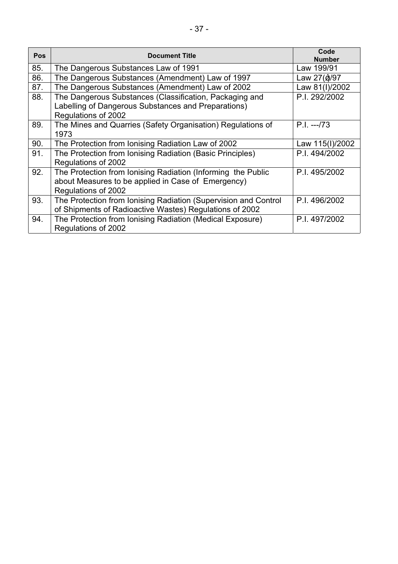| Pos | <b>Document Title</b>                                           | Code<br><b>Number</b> |
|-----|-----------------------------------------------------------------|-----------------------|
| 85. | The Dangerous Substances Law of 1991                            | Law 199/91            |
| 86. | The Dangerous Substances (Amendment) Law of 1997                | Law 27()/97           |
| 87. | The Dangerous Substances (Amendment) Law of 2002                | Law 81(I)/2002        |
| 88. | The Dangerous Substances (Classification, Packaging and         | P.I. 292/2002         |
|     | Labelling of Dangerous Substances and Preparations)             |                       |
|     | Regulations of 2002                                             |                       |
| 89. | The Mines and Quarries (Safety Organisation) Regulations of     | $P.I. -173$           |
|     | 1973                                                            |                       |
| 90. | The Protection from Ionising Radiation Law of 2002              | Law 115(I)/2002       |
| 91. | The Protection from Ionising Radiation (Basic Principles)       | P.I. 494/2002         |
|     | Regulations of 2002                                             |                       |
| 92. | The Protection from Ionising Radiation (Informing the Public    | P.I. 495/2002         |
|     | about Measures to be applied in Case of Emergency)              |                       |
|     | Regulations of 2002                                             |                       |
| 93. | The Protection from Ionising Radiation (Supervision and Control | P.I. 496/2002         |
|     | of Shipments of Radioactive Wastes) Regulations of 2002         |                       |
| 94. | The Protection from Ionising Radiation (Medical Exposure)       | P.I. 497/2002         |
|     | Regulations of 2002                                             |                       |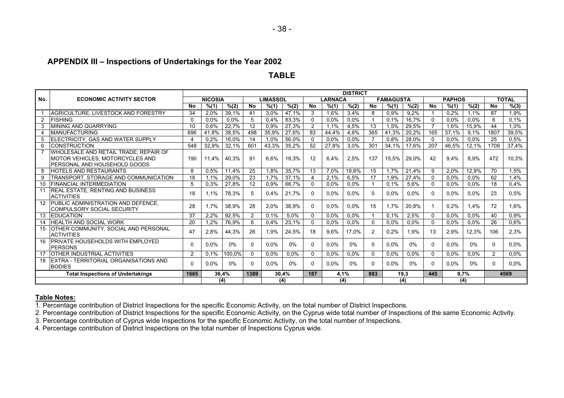#### **APPENDIX III – Inspections of Undertakings for the Year 2002**

#### **TABLE**

|     |                                                                                                          | <b>DISTRICT</b><br><b>FAMAGUSTA</b> |                |        |                |                 |       |              |                |         |              |       |       |              |               |         |               |              |
|-----|----------------------------------------------------------------------------------------------------------|-------------------------------------|----------------|--------|----------------|-----------------|-------|--------------|----------------|---------|--------------|-------|-------|--------------|---------------|---------|---------------|--------------|
| No. | <b>ECONOMIC ACTIVITY SECTOR</b>                                                                          |                                     | <b>NICOSIA</b> |        |                | <b>LIMASSOL</b> |       |              | <b>LARNACA</b> |         |              |       |       |              | <b>PAPHOS</b> |         |               | <b>TOTAL</b> |
|     |                                                                                                          | <b>No</b>                           | % (1)          | % (2)  | <b>No</b>      | % (1)           | % (2) | <b>No</b>    | % (1)          | % (2)   | <b>No</b>    | % (1) | % (2) | <b>No</b>    | % (1)         | % (2)   | <b>No</b>     | % (3)        |
|     | AGRICULTURE, LIVESTOCK AND FORESTRY                                                                      | 34                                  | 2,0%           | 39,1%  | 41             | 3.0%            | 47.1% | 3            | 1.6%           | 3,4%    | 8            | 0,9%  | 9.2%  |              | 0.2%          | 1.1%    | 87            | 1.9%         |
| 2   | FISHING                                                                                                  | $\Omega$                            | $0,0\%$        | 0,0%   |                | 0.4%            | 83,3% | 0            | 0.0%           | 0.0%    |              | 0.1%  | 16,7% | $\mathbf{0}$ | 0.0%          | 0.0%    | 6             | 0.1%         |
| 3   | MINING AND QUARRYING                                                                                     | 10                                  | 0,6%           | 22,7%  | 12             | 0,9%            | 27,3% | 2            | 1.1%           | 4,5%    | 13           | 1,5%  | 29,5% |              | 1,6%          | 15,9%   | 44            | 1,0%         |
| 4   | MANUFACTURING                                                                                            | 696                                 | 41.8%          | 38,5%  | 498            | 35,9%           | 27,6% | 83           | 44,4%          | 4,6%    | 365          | 41,3% | 20,2% | 165          | 37,1%         | 9,1%    | 1807          | 39,5%        |
| 5   | ELECTRICITY, GAS AND WATER SUPPLY                                                                        | $\Delta$                            | 0.2%           | 16,0%  | 14             | 1,0%            | 56,0% | 0            | 0.0%           | 0.0%    |              | 0,8%  | 28,0% | 0            | 0.0%          | 0.0%    | 25            | 0.5%         |
| 6   | <b>CONSTRUCTION</b>                                                                                      | 548                                 | 32,9%          | 32,1%  | 601            | 43,3%           | 35,2% | 52           | 27,8%          | 3.0%    | 301          | 34,1% | 17,6% | 207          | 46,5%         | 12.1%   | 1709          | 37.4%        |
|     | WHOLESALE AND RETAIL TRADE; REPAIR OF<br>MOTOR VEHICLES, MOTORCYCLES AND<br>PERSONAL AND HOUSEHOLD GOODS | 190                                 | 11.4%          | 40.3%  | 91             | 6.6%            | 19.3% | 12           | 6.4%           | 2,5%    | 137          | 15,5% | 29.0% | 42           | 9.4%          | 8,9%    | 472           | 10,3%        |
| 8   | <b>HOTELS AND RESTAURANTS</b>                                                                            | 8                                   | 0.5%           | 11,4%  | 25             | 1.8%            | 35,7% | 13           | 7.0%           | 18,6%   | 15           | 1.7%  | 21.4% | 9            | 2.0%          | 12,9%   | 70            | 1.5%         |
| 9   | TRANSPORT, STORAGE AND COMMUNICATION                                                                     | 18                                  | 1.1%           | 29,0%  | 23             | 1,7%            | 37,1% | 4            | 2,1%           | 6,5%    | 17           | 1,9%  | 27,4% | 0            | 0.0%          | 0.0%    | 62            | 1,4%         |
| 10  | <b>FINANCIAL INTERMEDIATION</b>                                                                          | 5                                   | 0.3%           | 27.8%  | 12             | 0,9%            | 66.7% | $\mathbf{0}$ | $0.0\%$        | 0.0%    |              | 0,1%  | 5,6%  | $\mathbf{0}$ | 0.0%          | $0.0\%$ | 18            | 0.4%         |
| 11  | REAL ESTATE, RENTING AND BUSINESS<br><b>ACTIVITIES</b>                                                   | 18                                  | 1.1%           | 78,3%  | 5.             | 0.4%            | 21,7% | $\mathbf{0}$ | 0.0%           | 0.0%    | $\mathbf{0}$ | 0.0%  | 0.0%  | $\mathbf{0}$ | 0.0%          | 0.0%    | 23            | 0.5%         |
| 12  | PUBLIC ADMINISTRATION AND DEFENCE,<br><b>COMPULSORY SOCIAL SECURITY</b>                                  | 28                                  | 1.7%           | 38,9%  | 28             | 2,0%            | 38,9% | $\mathbf{0}$ | 0.0%           | 0.0%    | 15           | 1.7%  | 20,8% |              | 0.2%          | 1.4%    | 72            | 1.6%         |
|     | 13 EDUCATION                                                                                             | 37                                  | 2,2%           | 92,5%  | $\overline{2}$ | 0,1%            | 5,0%  | $\mathbf{0}$ | 0.0%           | 0.0%    |              | 0,1%  | 2,5%  | 0            | 0,0%          | 0,0%    | 40            | 0.9%         |
| 14  | <b>HEALTH AND SOCIAL WORK</b>                                                                            | 20                                  | 1,2%           | 76,9%  | 6              | 0.4%            | 23,1% | $\mathbf{0}$ | 0,0%           | 0,0%    | $\Omega$     | 0.0%  | 0,0%  | 0            | 0,0%          | 0,0%    | 26            | 0.6%         |
| 15  | <b>OTHER COMMUNITY, SOCIAL AND PERSONAL</b><br><b>ACTIVITIES</b>                                         | 47                                  | 2,8%           | 44,3%  | 26             | 1,9%            | 24,5% | 18           | 9.6%           | 17,0%   | 2            | 0,2%  | 1,9%  | 13           | 2,9%          | 12,3%   | 106           | 2,3%         |
| 16  | PRIVATE HOUSEHOLDS WITH EMPLOYED<br><b>PERSONS</b>                                                       |                                     | 0.0%           | $0\%$  |                | 0.0%            | 0%    | $\Omega$     | 0.0%           | 0%      | 0            | 0.0%  | 0%    | $\Omega$     | 0.0%          | 0%      |               | 0.0%         |
| 17  | <b>OTHER INDUSTRIAL ACTIVITIES</b>                                                                       | 2                                   | 0.1%           | 100,0% |                | $0.0\%$         | 0.0%  | $\mathbf{0}$ | $0.0\%$        | $0.0\%$ | $\Omega$     | 0.0%  | 0,0%  | 0            | 0.0%          | $0.0\%$ | $\mathcal{P}$ | 0.0%         |
| 18  | EXTRA - TERRITORIAL ORGANISATIONS AND<br><b>BODIES</b>                                                   | n                                   | 0.0%           | $0\%$  | 0              | $0.0\%$         | $0\%$ | $\Omega$     | $0.0\%$        | 0%      | $\Omega$     | 0.0%  | $0\%$ | $\Omega$     | 0.0%          | 0%      | n             | $0.0\%$      |
|     | <b>Total Inspections of Undertakings</b>                                                                 | 1665                                |                | 36.4%  | 1389           | 30.4%           |       | 187          | 4.1%           |         | 883          |       | 19.3  | 445          |               | 9.7%    |               | 4569         |
|     |                                                                                                          |                                     |                | (4)    |                | (4)             |       |              | (4)            |         |              |       | (4)   |              |               | (4)     |               |              |

#### **Table Notes:**

1. Percentage contribution of District Inspections for the specific Economic Activity, on the total number of District Inspections.

2. Percentage contribution of District Inspections for the specific Economic Activity, on the Cyprus wide total number of Inspections of the same Economic Activity.

3. Percentage contribution of Cyprus wide Inspections for the specific Economic Activity, on the total number of Inspections.

4. Percentage contribution of District Inspections on the total number of Inspections Cyprus wide.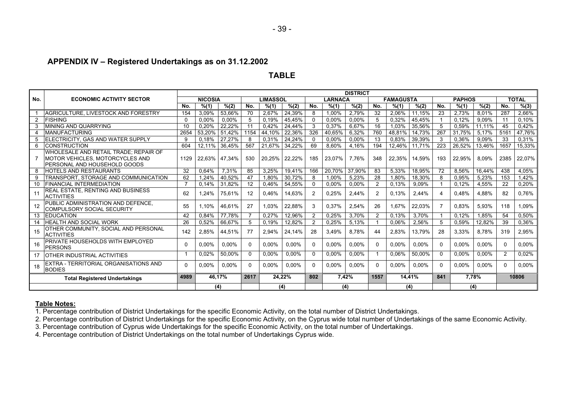#### **APPENDIX IV – Registered Undertakings as on 31.12.2002**

#### **TABLE**

| <b>DISTRICT</b><br><b>TOTAL</b><br><b>FAMAGUSTA</b> |                                                                                                          |              |                |        |          |                 |        |     |                |          |                |        |        |          |               |          |          |        |
|-----------------------------------------------------|----------------------------------------------------------------------------------------------------------|--------------|----------------|--------|----------|-----------------|--------|-----|----------------|----------|----------------|--------|--------|----------|---------------|----------|----------|--------|
| No.                                                 | <b>ECONOMIC ACTIVITY SECTOR</b>                                                                          |              | <b>NICOSIA</b> |        |          | <b>LIMASSOL</b> |        |     | <b>LARNACA</b> |          |                |        |        |          | <b>PAPHOS</b> |          |          |        |
|                                                     |                                                                                                          | No.          | % (1)          | % (2)  | No.      | % (1)           | % (2)  | No. | % (1)          | % (2)    | No.            | % (1)  | % (2)  | No.      | % (1)         | % (2)    | No.      | % (3)  |
|                                                     | AGRICULTURE, LIVESTOCK AND FORESTRY                                                                      | 154          | 3.09%          | 53.66% | 70       | 2.67%           | 24.39% | 8   | $1.00\%$       | 2.79%    | 32             | 2.06%  | 11.15% | 23       | 2.73%         | 8.01%    | 287      | 2.66%  |
| 2                                                   | <b>IFISHING</b>                                                                                          | 0            | 0,00%          | 0,00%  | 5        | 0.19%           | 45.45% |     | 0.00%          | 0,00%    | 5              | 0,32%  | 45,45% |          | 0.12%         | 9.09%    | 11       | 0,10%  |
|                                                     | MINING AND QUARRYING                                                                                     | 10           | 0.20%          | 22,22% | 11       | 0.42%           | 24.44% | 3   | 0.37%          | 6.67%    | 16             | 1,03%  | 35,56% | -5       | 0.59%         | 11.11%   | 45       | 0.42%  |
|                                                     | <b>MANUFACTURING</b>                                                                                     | 2654         | 53,20%         | 51,42% | 1154     | 44,10%          | 22,36% | 326 | 40,65%         | 6,32%    | 760            | 48,81% | 14,73% | 267      | 31,75%        | 5,17%    | 516'     | 47,76% |
|                                                     | ELECTRICITY, GAS AND WATER SUPPLY                                                                        | я            | 0.18%          | 27,27% | 8        | 0,31%           | 24,24% |     | 0,00%          | 0,00%    | 13             | 0,83%  | 39,39% | -3       | 0,36%         | 9.09%    | 33       | 0,31%  |
| 6                                                   | <b>CONSTRUCTION</b>                                                                                      | 604          | 12.11%         | 36.45% | 567      | 21.67%          | 34,22% | 69  | 8.60%          | 4.16%    | 194            | 12.46% | 11.71% | 223      | 26.52%        | 13.46%   | 1657     | 15,33% |
|                                                     | WHOLESALE AND RETAIL TRADE: REPAIR OF<br>MOTOR VEHICLES, MOTORCYCLES AND<br>PERSONAL AND HOUSEHOLD GOODS | 1129         | 22.63%         | 47,34% | 530      | 20,25%          | 22,22% | 185 | 23,07%         | 7.76%    | 348            | 22,35% | 14,59% | 193      | 22,95%        | 8,09%    | 2385     | 22,07% |
| 8                                                   | <b>HOTELS AND RESTAURANTS</b>                                                                            | 32           | 0,64%          | 7,31%  | 85       | 3,25%           | 19,41% | 166 | 20,70%         | 37,90%   | 83             | 5,33%  | 18,95% | 72       | 8,56%         | 16,44%   | 438      | 4,05%  |
| 9                                                   | TRANSPORT. STORAGE AND COMMUNICATION                                                                     | 62           | 1.24%          | 40.52% | 47       | 1.80%           | 30.72% | 8   | 1,00%          | 5.23%    | 28             | 1.80%  | 18.30% | -8       | 0.95%         | 5.23%    | 153      | 1,42%  |
| 10                                                  | <b>FINANCIAL INTERMEDIATION</b>                                                                          |              | 0,14%          | 31,82% | 12       | 0,46%           | 54,55% |     | 0,00%          | 0,00%    | $\overline{2}$ | 0,13%  | 9,09%  |          | 0,12%         | 4,55%    | 22       | 0,20%  |
| 11                                                  | REAL ESTATE, RENTING AND BUSINESS<br><b>ACTIVITIES</b>                                                   | 62           | 1.24%          | 75.61% | 12       | 0.46%           | 14.63% |     | 0.25%          | 2.44%    | $\overline{2}$ | 0.13%  | 2.44%  | -4       | 0.48%         | 4.88%    | 82       | 0.76%  |
|                                                     | PUBLIC ADMINISTRATION AND DEFENCE,<br>COMPULSORY SOCIAL SECURITY                                         | 55           | 1.10%          | 46.61% | 27       | 1.03%           | 22,88% | 3   | 0,37%          | 2,54%    | 26             | 1.67%  | 22,03% | -7       | 0.83%         | 5,93%    | 118      | 1.09%  |
| 13                                                  | <b>IEDUCATION</b>                                                                                        | 42           | 0.84%          | 77.78% |          | 0.27%           | 12.96% | 2   | 0,25%          | 3.70%    | $\overline{2}$ | 0.13%  | 3.70%  | - 1      | 0.12%         | 1.85%    | 54       | 0,50%  |
| 14                                                  | <b>HEALTH AND SOCIAL WORK</b>                                                                            | 26           | $0,52\%$       | 66,67% | 5        | 0,19%           | 12,82% | 2   | 0,25%          | 5,13%    |                | 0,06%  | 2,56%  | -5       | 0,59%         | 12,82%   | 39       | 0,36%  |
| 15                                                  | OTHER COMMUNITY, SOCIAL AND PERSONAL<br><b>ACTIVITIES</b>                                                | 142          | 2,85%          | 44,51% | 77       | 2.94%           | 24,14% | 28  | 3.49%          | 8.78%    | 44             | 2,83%  | 13.79% | 28       | 3.33%         | 8.78%    | 319      | 2,95%  |
| 16                                                  | PRIVATE HOUSEHOLDS WITH EMPLOYED<br><b>PERSONS</b>                                                       | <sup>0</sup> | 0.00%          | 0.00%  | $\Omega$ | 0.00%           | 0.00%  |     | 0.00%          | $0.00\%$ | $\Omega$       | 0.00%  | 0.00%  | $\Omega$ | $0.00\%$      | $0.00\%$ | $\Omega$ | 0.00%  |
| 17                                                  | OTHER INDUSTRIAL ACTIVITIES                                                                              |              | 0,02%          | 50,00% | $\Omega$ | 0,00%           | 0,00%  |     | 0,00%          | 0,00%    |                | 0,06%  | 50,00% | $\Omega$ | $0.00\%$      | 0.00%    | 2        | 0.02%  |
| 18                                                  | EXTRA - TERRITORIAL ORGANISATIONS AND<br><b>BODIES</b>                                                   | O            | 0,00%          | 0,00%  | $\Omega$ | 0,00%           | 0,00%  |     | 0,00%          | 0,00%    | 0              | 0,00%  | 0,00%  | $\Omega$ | 0,00%         | 0,00%    | 0        | 0,00%  |
|                                                     | <b>Total Registered Undertakings</b>                                                                     | 4989         | 46.17%         |        | 2617     | 24,22%          |        | 802 | 7,42%          |          | 1557           |        | 14.41% | 841      | 7,78%         |          |          | 10806  |
|                                                     |                                                                                                          |              | (4)            |        |          |                 | (4)    |     | (4)            |          |                |        | (4)    |          |               | (4)      |          |        |

#### **Table Notes:**

1. Percentage contribution of District Undertakings for the specific Economic Activity, on the total number of District Undertakings.

2. Percentage contribution of District Undertakings for the specific Economic Activity, on the Cyprus wide total number of Undertakings of the same Economic Activity.

3. Percentage contribution of Cyprus wide Undertakings for the specific Economic Activity, on the total number of Undertakings.

4. Percentage contribution of District Undertakings on the total number of Undertakings Cyprus wide.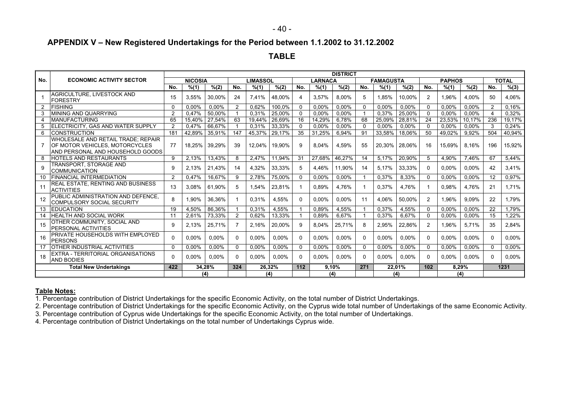#### **APPENDIX V – New Registered Undertakings for the Period between 1.1.2002 to 31.12.2002**

**TABLE**

|              |                                                                         | <b>DISTRICT</b><br><b>NICOSIA</b><br><b>LIMASSOL</b><br>LARNACA<br><b>FAMAGUSTA</b><br><b>PAPHOS</b> |          |                 |                |          |        |              |          |          |              |        |        |                |          |          |                |              |
|--------------|-------------------------------------------------------------------------|------------------------------------------------------------------------------------------------------|----------|-----------------|----------------|----------|--------|--------------|----------|----------|--------------|--------|--------|----------------|----------|----------|----------------|--------------|
| No.          | <b>ECONOMIC ACTIVITY SECTOR</b>                                         |                                                                                                      |          |                 |                |          |        |              |          |          |              |        |        |                |          |          |                | <b>TOTAL</b> |
|              |                                                                         | No.                                                                                                  | % (1)    | $\sqrt[6]{(2)}$ | No.            | % (1)    | % (2)  | No.          | % (1)    | % (2)    | No.          | % (1)  | % (2)  | No.            | % (1)    | % (2)    | No.            | % (3)        |
|              | AGRICULTURE. LIVESTOCK AND                                              | 15                                                                                                   | 3,55%    | 30,00%          | 24             | 7,41%    | 48.00% |              | 3.57%    | 8.00%    | 5            | 1.85%  | 10,00% | 2              | 1,96%    | 4,00%    | 50             | 4.06%        |
|              | <b>FORESTRY</b>                                                         |                                                                                                      |          |                 |                |          |        |              |          |          |              |        |        |                |          |          |                |              |
|              | <b>FISHING</b>                                                          | $\mathbf{0}$                                                                                         | 0.00%    | 0.00%           | $\overline{2}$ | 0.62%    | 100.0% | 0            | 0,00%    | 0.00%    | 0            | 0.00%  | 0.00%  | 0              | 0.00%    | $0.00\%$ | $\overline{2}$ | 0.16%        |
| 3            | MINING AND OUARRYING                                                    | 2                                                                                                    | 0.47%    | 50,00%          |                | 0.31%    | 25,00% | -0           | 0.00%    | 0,00%    |              | 0,37%  | 25,00% | $\mathbf{0}$   | $0.00\%$ | $0.00\%$ |                | 0,32%        |
| 4            | <b>MANUFACTURING</b>                                                    | 65                                                                                                   | 15.40%   | 27,54%          | 63             | 19,44%   | 26,69% | 16           | 14,29%   | $6,78\%$ | 68           | 25,09% | 28,81% | 24             | 23,53%   | 10,17%   | 236            | 19,17%       |
|              | ELECTRICITY, GAS AND WATER SUPPLY                                       | 2                                                                                                    | 0.47%    | 66.67%          |                | 0.31%    | 33.33% | $\Omega$     | $0.00\%$ | 0,00%    | 0            | 0.00%  | 0.00%  | 0              | 0.00%    | $0.00\%$ | 3              | 0,24%        |
| 6            | <b>CONSTRUCTION</b>                                                     | 181                                                                                                  | 42,89%   | 35,91%          | 147            | 45,37%   | 29,17% | 35           | 31,25%   | 6,94%    | 91           | 33,58% | 18,06% | 50             | 49,02%   | 9,92%    | 504            | 40,94%       |
|              | WHOLESALE AND RETAIL TRADE: REPAIR                                      |                                                                                                      |          |                 |                |          |        |              |          |          |              |        |        |                |          |          |                |              |
|              | OF MOTOR VEHICLES, MOTORCYCLES                                          | 77                                                                                                   | 18.25%   | 39,29%          | 39             | 12.04%   | 19,90% | .q           | 8.04%    | 4.59%    | 55           | 20.30% | 28,06% | 16             | 15.69%   | 8.16%    | 196            | 15,92%       |
|              | AND PERSONAL AND HOUSEHOLD GOODS                                        |                                                                                                      |          |                 |                |          |        |              |          |          |              |        |        |                |          |          |                |              |
| 8            | <b>HOTELS AND RESTAURANTS</b>                                           | 9                                                                                                    | 2.13%    | 13,43%          | 8              | 2.47%    | 11.94% | -31          | 27,68%   | 46.27%   | 14           | 5,17%  | 20,90% | 5              | 4,90%    | 7.46%    | 67             | 5,44%        |
| $\mathbf{Q}$ | TRANSPORT. STORAGE AND<br><b>COMMUNICATION</b>                          | 9                                                                                                    | 2.13%    | 21,43%          | 14             | 4.32%    | 33,33% | 5            | 4.46%    | 11,90%   | 14           | 5.17%  | 33,33% | $\mathbf{0}$   | $0.00\%$ | $0.00\%$ | 42             | 3.41%        |
| 10           | <b>FINANCIAL INTERMEDIATION</b>                                         | 2                                                                                                    | 0,47%    | 16,67%          | 9              | 2,78%    | 75,00% | $\Omega$     | 0,00%    | $0,00\%$ |              | 0,37%  | 8,33%  | $\mathbf{0}$   | 0.00%    | 0,00%    | 12             | 0,97%        |
| 11           | REAL ESTATE. RENTING AND BUSINESS<br><b>ACTIVITIES</b>                  | 13                                                                                                   | 3,08%    | 61,90%          | 5              | 1.54%    | 23,81% |              | 0,89%    | 4,76%    |              | 0,37%  | 4,76%  |                | 0,98%    | 4,76%    | 21             | 1.71%        |
|              | PUBLIC ADMINISTRATION AND DEFENCE,<br><b>COMPULSORY SOCIAL SECURITY</b> | 8                                                                                                    | 1.90%    | 36,36%          |                | 0.31%    | 4.55%  | <sup>0</sup> | 0.00%    | $0.00\%$ | 11           | 4.06%  | 50.00% | $\overline{2}$ | 1.96%    | 9.09%    | 22             | 1.79%        |
| 13           | <b>EDUCATION</b>                                                        | 19                                                                                                   | 4,50%    | 86.36%          |                | 0,31%    | 4,55%  |              | 0.89%    | 4,55%    |              | 0,37%  | 4,55%  | $\mathbf{0}$   | 0.00%    | $0.00\%$ | 22             | 1.79%        |
| 14           | <b>HEALTH AND SOCIAL WORK</b>                                           | 11                                                                                                   | 2.61%    | 73,33%          | 2              | 0.62%    | 13,33% |              | 0.89%    | 6.67%    |              | 0.37%  | 6.67%  | $\mathbf{0}$   | 0.00%    | $0.00\%$ | 15             | 1,22%        |
| 15           | OTHER COMMUNITY, SOCIAL AND<br>PERSONAL ACTIVITIES                      | 9                                                                                                    | 2,13%    | 25,71%          |                | 2.16%    | 20,00% | 9            | 8,04%    | 25,71%   | 8            | 2,95%  | 22,86% | $\overline{2}$ | 1,96%    | 5,71%    | 35             | 2,84%        |
| 16           | PRIVATE HOUSEHOLDS WITH EMPLOYED<br><b>PERSONS</b>                      | $\mathbf{0}$                                                                                         | $0.00\%$ | 0,00%           | 0              | $0.00\%$ | 0,00%  | $\Omega$     | $0.00\%$ | $0.00\%$ | $\mathbf{0}$ | 0.00%  | 0,00%  | $\mathbf{0}$   | $0.00\%$ | 0,00%    | 0              | $0.00\%$     |
| 17           | IOTHER INDUSTRIAL ACTIVITIES                                            | $\mathbf{0}$                                                                                         | 0,00%    | 0,00%           | $\Omega$       | 0,00%    | 0,00%  | 0            | 0,00%    | 0,00%    | $\mathbf{0}$ | 0.00%  | 0,00%  | $\mathbf{0}$   | 0,00%    | 0,00%    | $\mathbf{0}$   | 0,00%        |
| 18           | EXTRA - TERRITORIAL ORGANISATIONS<br><b>AND BODIES</b>                  | $\Omega$                                                                                             | 0,00%    | 0,00%           | $\Omega$       | 0,00%    | 0,00%  | $\Omega$     | 0,00%    | 0,00%    | $\mathbf{0}$ | 0.00%  | 0,00%  | $\mathbf{0}$   | 0,00%    | 0,00%    | <sup>0</sup>   | 0,00%        |
|              | <b>Total New Undertakings</b>                                           | 422                                                                                                  |          | 34.28%          | 324            |          | 26.32% | 112          |          | 9.10%    | 271          |        | 22.01% | 102            |          | 8.29%    |                | 1231         |
|              |                                                                         |                                                                                                      |          | (4)             |                |          | (4)    |              |          | (4)      |              |        | (4)    |                |          | (4)      |                |              |

#### **Table Notes:**

1. Percentage contribution of District Undertakings for the specific Economic Activity, on the total number of District Undertakings.

2. Percentage contribution of District Undertakings for the specific Economic Activity, on the Cyprus wide total number of Undertakings of the same Economic Activity.

3. Percentage contribution of Cyprus wide Undertakings for the specific Economic Activity, on the total number of Undertakings.

4. Percentage contribution of District Undertakings on the total number of Undertakings Cyprus wide.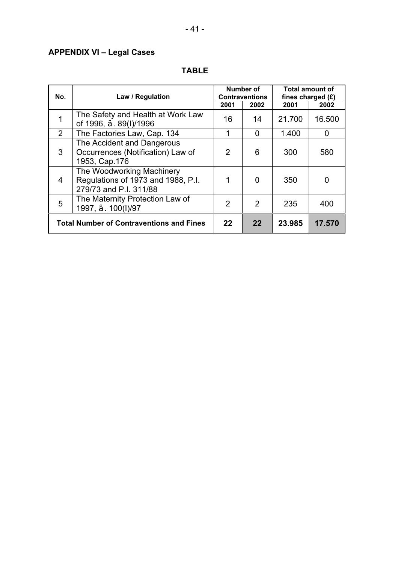## **APPENDIX VI – Legal Cases**

| No.            | Law / Regulation                                                                          |      | Number of<br><b>Contraventions</b> | fines charged $(E)$ | <b>Total amount of</b> |
|----------------|-------------------------------------------------------------------------------------------|------|------------------------------------|---------------------|------------------------|
|                |                                                                                           | 2001 | 2002                               | 2001                | 2002                   |
|                | The Safety and Health at Work Law<br>of 1996, . 89(I)/1996                                | 16   | 14                                 | 21.700              | 16.500                 |
| 2              | The Factories Law, Cap. 134                                                               | 1    | 0                                  | 1.400               | 0                      |
| 3              | The Accident and Dangerous<br>Occurrences (Notification) Law of<br>1953, Cap.176          | 2    | 6                                  | 300                 | 580                    |
| $\overline{4}$ | The Woodworking Machinery<br>Regulations of 1973 and 1988, P.I.<br>279/73 and P.I. 311/88 |      | 0                                  | 350                 |                        |
| 5              | The Maternity Protection Law of<br>1997, .100(I)/97                                       | 2    | 2                                  | 235                 | 400                    |
|                | <b>Total Number of Contraventions and Fines</b>                                           | 22   | 22                                 | 23,985              | 17.570                 |

## **TABLE**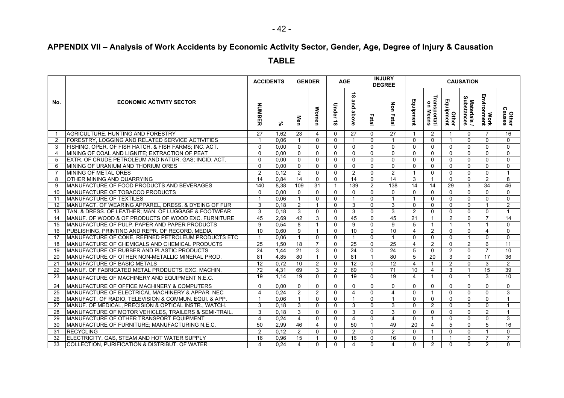# **APPENDIX VII – Analysis of Work Accidents by Economic Activity Sector, Gender, Age, Degree of Injury & Causation**

**TABLE**

|                |                                                                  | <b>ACCIDENTS</b>        |      | <b>GENDER</b>   |                |                    | <b>AGE</b>                 |                | <b>INJURY</b><br><b>DEGREE</b> |                |                          |                         | <b>CAUSATION</b>          |                     |                        |
|----------------|------------------------------------------------------------------|-------------------------|------|-----------------|----------------|--------------------|----------------------------|----------------|--------------------------------|----------------|--------------------------|-------------------------|---------------------------|---------------------|------------------------|
| No.            | <b>ECONOMIC ACTIVITY SECTOR</b>                                  | <b>NUMBER</b>           | వి   | Men             | <b>Women</b>   | Under<br>$\vec{8}$ | $\vec{\circ}$<br>and above | Fatal          | Non Fatal                      | Equipment      | Transportati<br>on Means | Equipment<br>Other      | Materials /<br>Substances | Work<br>Environment | <b>Other</b><br>Causes |
| $\mathbf{1}$   | AGRICULTURE, HUNTING AND FORESTRY                                | 27                      | 1.62 | 23              | $\overline{4}$ | $\Omega$           | 27                         | $\Omega$       | $\overline{27}$                | -1             | 2                        | $\overline{1}$          | $\Omega$                  | $\overline{7}$      | 16                     |
| $\overline{2}$ | <b>FORESTRY, LOGGING AND RELATED SERVICE ACTIVITIES</b>          | $\overline{\mathbf{1}}$ | 0.06 | $\mathbf{1}$    | $\Omega$       | $\Omega$           | $\overline{1}$             | $\mathbf{0}$   | $\overline{1}$                 | $\Omega$       | $\Omega$                 | $\overline{1}$          | $\Omega$                  | $\Omega$            | $\Omega$               |
| 3              | FISHING, OPER. OF FISH HATCH. & FISH FARMS; INC. ACT.            | $\mathbf{0}$            | 0.00 | $\mathbf{0}$    | $\Omega$       | $\Omega$           | $\mathbf{0}$               | $\mathbf{0}$   | $\mathbf 0$                    | $\Omega$       | $\mathbf{0}$             | $\Omega$                | $\mathbf{0}$              | $\Omega$            | $\Omega$               |
| 4              | <b>IMINING OF COAL AND LIGNITE: EXTRACTION OF PEAT</b>           | $\Omega$                | 0.00 | $\Omega$        | $\mathbf{0}$   | $\Omega$           | $\mathbf{0}$               | $\Omega$       | $\mathbf{0}$                   | $\Omega$       | $\mathbf{0}$             | $\Omega$                | $\mathbf{0}$              | $\Omega$            | $\Omega$               |
| 5              | EXTR. OF CRUDE PETROLEUM AND NATUR. GAS: INCID. ACT.             | $\Omega$                | 0.00 | $\mathbf 0$     | $\mathbf 0$    | $\mathbf{0}$       | $\mathbf{0}$               | $\mathbf 0$    | $\mathbf 0$                    | $\mathbf{0}$   | $\mathbf{0}$             | $\Omega$                | $\mathbf{0}$              | $\mathbf{0}$        | $\Omega$               |
| 6              | <b>IMINING OF URANIUM AND THORIUM ORES</b>                       | $\Omega$                | 0.00 | $\mathbf 0$     | $\mathbf{0}$   | $\Omega$           | $\mathbf{0}$               | $\Omega$       | $\mathbf{0}$                   | $\Omega$       | $\mathbf{0}$             | $\Omega$                | $\Omega$                  | $\Omega$            | $\Omega$               |
| $\overline{7}$ | MINING OF METAL ORES                                             | $\overline{2}$          | 0.12 | 2               | $\mathbf{0}$   | $\Omega$           | 2                          | $\Omega$       | 2                              | -1             | $\mathbf{0}$             | $\Omega$                | $\Omega$                  | $\Omega$            | $\mathbf{1}$           |
| 8              | <b>OTHER MINING AND QUARRYING</b>                                | $\overline{14}$         | 0.84 | $\overline{14}$ | $\mathbf 0$    | $\Omega$           | $\overline{14}$            | $\overline{0}$ | $\overline{14}$                | 3              | $\mathbf{1}$             | $\Omega$                | $\mathbf{0}$              | 2                   | $\overline{8}$         |
| 9              | MANUFACTURE OF FOOD PRODUCTS AND BEVERAGES                       | 140                     | 8,38 | 109             | 31             | $\mathbf{1}$       | 139                        | $\overline{2}$ | 138                            | 14             | 14                       | 29                      | 3                         | 34                  | 46                     |
| 10             | MANUFACTURE OF TOBACCO PRODUCTS                                  | $\mathbf{0}$            | 0.00 | $\Omega$        | $\mathbf{0}$   | $\Omega$           | $\mathbf{0}$               | $\mathbf{0}$   | $\mathbf{0}$                   | $\Omega$       | $\mathbf{0}$             | $\Omega$                | $\mathbf{0}$              | $\Omega$            | $\Omega$               |
| 11             | <b>MANUFACTURE OF TEXTILES</b>                                   | $\overline{1}$          | 0.06 | $\mathbf{1}$    | $\Omega$       | $\mathbf{0}$       | $\overline{1}$             | $\Omega$       | $\mathbf{1}$                   |                | $\mathbf{0}$             | $\Omega$                | $\mathbf{0}$              | $\mathbf{0}$        | $\mathbf 0$            |
| 12             | MANUFACT. OF WEARING APPAREL, DRESS. & DYEING OF FUR             | 3                       | 0.18 | 2               | $\overline{1}$ | $\Omega$           | 3                          | $\Omega$       | 3                              | $\Omega$       | $\mathbf{0}$             | $\Omega$                | $\mathbf{0}$              | $\overline{1}$      | 2                      |
| 13             | TAN. & DRESS. OF LEATHER; MAN. OF LUGGAGE & FOOTWEAR             | 3                       | 0.18 | 3               | $\mathbf{0}$   | $\Omega$           | 3                          | $\mathbf 0$    | 3                              | $\overline{2}$ | $\mathbf{0}$             | $\Omega$                | $\Omega$                  | $\Omega$            | $\mathbf{1}$           |
| 14             | MANUF, OF WOOD & OF PRODUCTS OF WOOD EXC. FURNITURE              | 45                      | 2.69 | 42              | 3              | $\mathbf{0}$       | 45                         | $\mathbf{0}$   | 45                             | 21             |                          | $\overline{2}$          | $\Omega$                  | $\overline{7}$      | 14                     |
| 15             | MANUFACTURE OF PULP, PAPER AND PAPER PRODUCTS                    | 9                       | 0.54 | 8               | $\overline{1}$ | $\mathbf{0}$       | 9                          | $\Omega$       | 9                              | 5              | $\mathbf{1}$             | $\mathbf{1}$            | $\mathbf{1}$              | $\overline{1}$      | $\mathbf{0}$           |
| 16             | PUBLISHING, PRINTING AND REPR. OF RECORD. MEDIA                  | $\overline{10}$         | 0.60 | 9               | $\overline{1}$ | $\Omega$           | 10                         | $\Omega$       | $\overline{10}$                | 4              | 2                        | $\Omega$                | $\Omega$                  | 4                   | $\Omega$               |
| 17             | MANUFACTURE OF COKE, REFINED PETROLEUM PRODUCTS ETC              | $\mathbf{1}$            | 0.06 | $\mathbf{1}$    | $\mathbf{0}$   | $\Omega$           | $\mathbf{1}$               | $\Omega$       | $\mathbf{1}$                   | $\Omega$       | $\mathbf{0}$             | $\Omega$                | $\mathbf{1}$              | $\Omega$            | $\Omega$               |
| 18             | MANUFACTURE OF CHEMICALS AND CHEMICAL PRODUCTS                   | $\overline{25}$         | 1.50 | $\overline{18}$ | $\overline{7}$ | $\Omega$           | $\overline{25}$            | $\mathbf 0$    | 25                             | $\overline{4}$ | 2                        | 0                       | 2                         | 6                   | 11                     |
| 19             | MANUFACTURE OF RUBBER AND PLASTIC PRODUCTS                       | 24                      | 1.44 | 21              | 3              | $\Omega$           | 24                         | $\Omega$       | 24                             | 5              | $\mathbf{0}$             | 2                       | $\mathbf{0}$              | $\overline{7}$      | 10                     |
| 20             | MANUFACTURE OF OTHER NON-METALLIC MINERAL PROD.                  | 81                      | 4.85 | 80              | $\mathbf{1}$   | $\Omega$           | 81                         | $\mathbf{1}$   | 80                             | 5              | 20                       | 3                       | $\mathbf{0}$              | 17                  | 36                     |
| 21             | MANUFACTURE OF BASIC METALS                                      | $\overline{12}$         | 0.72 | 10              | 2              | $\Omega$           | 12                         | $\Omega$       | $\overline{12}$                | 4              | -1                       | $\overline{2}$          | $\mathbf{0}$              | 3                   | $\overline{2}$         |
| 22             | MANUF. OF FABRICATED METAL PRODUCTS, EXC. MACHIN.                | 72                      | 4,31 | 69              | 3              | 2                  | 69                         | $\mathbf{1}$   | $\overline{71}$                | 10             | 4                        | 3                       | $\overline{1}$            | 15                  | 39                     |
| 23             | MANUFACTURE OF MACHINERY AND EQUIPMENT N.E.C.                    | $\overline{19}$         | 1.14 | $\overline{19}$ | $\Omega$       | $\Omega$           | 19                         | $\Omega$       | $\overline{19}$                | 4              | $\overline{1}$           | $\Omega$                | $\mathbf{1}$              | 3                   | 10                     |
| 24             | <b>MANUFACTURE OF OFFICE MACHINERY &amp; COMPUTERS</b>           | $\mathbf{0}$            | 0.00 | $\Omega$        | $\mathbf{0}$   | $\mathbf{0}$       | $\mathbf{0}$               | $\mathbf{0}$   | $\mathbf{0}$                   | $\Omega$       | $\mathbf{0}$             | $\Omega$                | $\Omega$                  | $\Omega$            | $\mathbf{0}$           |
| 25             | <b>IMANUFACTURE OF ELECTRICAL MACHINERY &amp; APPAR. NEC</b>     | $\overline{4}$          | 0.24 | 2               | 2              | $\Omega$           | $\overline{4}$             | $\Omega$       | 4                              | $\Omega$       | $\overline{1}$           | $\Omega$                | $\mathbf{0}$              | $\Omega$            | 3                      |
| 26             | MANUFACT. OF RADIO, TELEVISION & COMMUN. EQUI. & APP.            | $\overline{1}$          | 0.06 | $\mathbf{1}$    | $\mathbf{0}$   | $\Omega$           | $\mathbf{1}$               | $\Omega$       | $\overline{1}$                 | $\Omega$       | $\mathbf{0}$             | $\Omega$                | $\mathbf{0}$              | $\Omega$            | $\mathbf{1}$           |
| 27             | MANUF. OF MEDICAL, PRECISION & OPTICAL INSTR., WATCH.            | 3                       | 0,18 | 3               | $\mathbf{0}$   | $\mathbf{0}$       | 3                          | $\Omega$       | 3                              | $\Omega$       | 2                        | $\Omega$                | $\mathbf{0}$              | $\Omega$            | $\mathbf{1}$           |
| 28             | <b>IMANUFACTURE OF MOTOR VEHICLES. TRAILERS &amp; SEMI-TRAIL</b> | 3                       | 0.18 | 3               | $\mathbf{0}$   | $\mathbf{0}$       | 3                          | $\Omega$       | $\overline{3}$                 | $\mathbf{0}$   | $\mathbf{0}$             | $\Omega$                | $\mathbf{0}$              | 2                   | $\mathbf{1}$           |
| 29             | MANUFACTURE OF OTHER TRANSPORT EQUIPMENT                         | 4                       | 0,24 | $\overline{4}$  | $\mathbf{0}$   | $\mathbf{0}$       | $\overline{4}$             | $\Omega$       | $\overline{4}$                 | $\mathbf{0}$   | $\mathbf{1}$             | $\Omega$                | $\mathbf{0}$              | $\mathbf{0}$        | 3                      |
| 30             | MANUFACTURE OF FURNITURE: MANUFACTURING N.E.C.                   | 50                      | 2,99 | 46              | $\overline{4}$ | $\mathbf{0}$       | 50                         | $\mathbf{1}$   | 49                             | 20             | $\overline{4}$           | 5                       | $\mathbf{0}$              | 5                   | 16                     |
| 31             | <b>RECYCLING</b>                                                 | 2                       | 0.12 | 2               | $\mathbf{0}$   | $\Omega$           | 2                          | $\Omega$       | 2                              | $\Omega$       | $\mathbf{1}$             | $\Omega$                | $\Omega$                  | $\mathbf 1$         | $\Omega$               |
| 32             | ELECTRICITY, GAS, STEAM AND HOT WATER SUPPLY                     | 16                      | 0,96 | 15              | $\overline{1}$ | $\Omega$           | 16                         | $\Omega$       | 16                             | $\Omega$       | $\mathbf{1}$             | $\overline{\mathbf{1}}$ | $\mathbf{0}$              | $\overline{7}$      | $\overline{7}$         |
| 33             | COLLECTION, PURIFICATION & DISTRIBUT. OF WATER                   | 4                       | 0.24 | $\overline{4}$  | $\Omega$       | $\Omega$           | $\overline{4}$             | $\Omega$       | $\overline{4}$                 | $\Omega$       | 2                        | $\Omega$                | $\Omega$                  | $\mathcal{P}$       | $\Omega$               |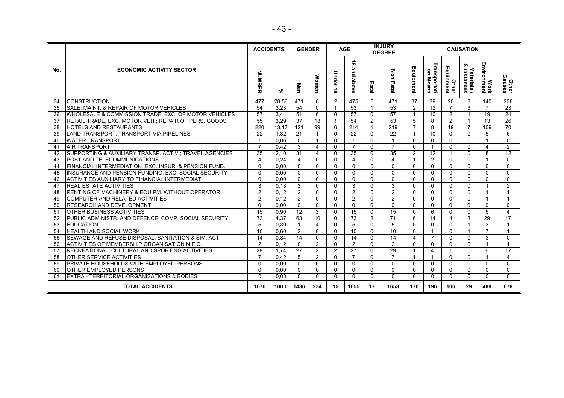|     |                                                        | <b>ACCIDENTS</b>        |       |                 | <b>GENDER</b>   |                        | <b>AGE</b>                |                | <b>INJURY</b><br><b>DEGREE</b> |                |                          |                         | <b>CAUSATION</b>          |                     |                         |
|-----|--------------------------------------------------------|-------------------------|-------|-----------------|-----------------|------------------------|---------------------------|----------------|--------------------------------|----------------|--------------------------|-------------------------|---------------------------|---------------------|-------------------------|
| No. | <b>ECONOMIC ACTIVITY SECTOR</b>                        | <b>NUMBER</b>           | వ్    | Men             | Women           | Under<br>∸<br>$\infty$ | $\vec{8}$<br>and<br>above | Fatal          | <b>Non Fatal</b>               | m<br>quipment  | Transportati<br>on Means | Other<br>Equipment      | Materials /<br>Substances | Work<br>Environment | <b>Other</b><br>Causes  |
| 34  | <b>CONSTRUCTION</b>                                    | 477                     | 28.56 | 471             | 6               | $\overline{2}$         | 475                       | 6              | 471                            | 37             | 39                       | 20                      | 3                         | 140                 | 238                     |
| 35  | SALE, MAINT. & REPAIR OF MOTOR VEHICLES                | 54                      | 3,23  | 54              | $\mathbf{0}$    | -1                     | 53                        | $\overline{1}$ | 53                             | $\overline{2}$ | 12                       | $\overline{7}$          | 3                         | 7                   | $\overline{23}$         |
| 36  | WHOLESALE & COMMISSION TRADE, EXC. OF MOTOR VEHICLES   | $\overline{57}$         | 3,41  | $\overline{51}$ | 6               | $\mathbf{0}$           | $\overline{57}$           | $\mathbf{0}$   | $\overline{57}$                | 1              | 10                       | 2                       | $\mathbf{1}$              | 19                  | $\overline{24}$         |
| 37  | RETAIL TRADE, EXC. MOTOR VEH.; REPAIR OF PERS. GOODS   | 55                      | 3,29  | $\overline{37}$ | $\overline{18}$ | -1                     | 54                        | $\overline{2}$ | $\overline{53}$                | 5              | 8                        | 2                       | $\overline{1}$            | 13                  | $\overline{26}$         |
| 38  | HOTELS AND RESTAURANTS                                 | 220                     | 13,17 | 121             | 99              | 6                      | 214                       | $\mathbf{1}$   | $\overline{219}$               | $\overline{7}$ | 8                        | 19                      | $\overline{7}$            | 109                 | 70                      |
| 39  | LAND TRANSPORT: TRANSPORT VIA PIPELINES                | 22                      | 1.32  | 21              | $\overline{1}$  | $\Omega$               | 22                        | $\Omega$       | 22                             | $\mathbf 1$    | 10                       | $\Omega$                | $\mathbf{0}$              | 5                   | 6                       |
| 40  | <b>WATER TRANSPORT</b>                                 | $\overline{1}$          | 0.06  | $\mathbf{0}$    | $\overline{1}$  | $\mathbf{0}$           | $\mathbf{1}$              | $\mathbf{0}$   | $\mathbf{1}$                   | $\mathbf 0$    | $\mathbf{0}$             | $\mathbf 0$             | $\mathbf{0}$              | -1                  | $\mathbf{0}$            |
| 41  | <b>AIR TRANSPORT</b>                                   | $\overline{7}$          | 0,42  | 3               | $\overline{4}$  | $\Omega$               | $\overline{7}$            | $\Omega$       | $\overline{7}$                 | $\mathbf{0}$   | $\mathbf{1}$             | $\mathbf{0}$            | $\mathbf{0}$              | 4                   | 2                       |
| 42  | SUPPORTING & AUXILIARY TRANSP. ACTIV.; TRAVEL AGENCIES | $\overline{35}$         | 2.10  | 31              | $\overline{4}$  | $\Omega$               | 35                        | $\mathbf{0}$   | $\overline{35}$                | $\overline{2}$ | $\overline{12}$          | $\overline{\mathbf{1}}$ | $\Omega$                  | 8                   | $\overline{12}$         |
| 43  | <b>POST AND TELECOMMUNICATIONS</b>                     | $\overline{\mathbf{4}}$ | 0.24  | 4               | $\mathbf 0$     | $\Omega$               | $\overline{4}$            | $\mathbf{0}$   | 4                              |                | $\overline{2}$           | $\mathbf 0$             | $\mathbf 0$               | -1                  | $\mathbf{0}$            |
| 44  | FINANCIAL INTERMEDIATION, EXC. INSUR, & PENSION FUND.  | $\Omega$                | 0.00  | $\Omega$        | $\mathbf{0}$    | $\Omega$               | $\mathbf{0}$              | $\mathbf{0}$   | $\Omega$                       | $\Omega$       | $\Omega$                 | $\mathbf 0$             | $\Omega$                  | $\Omega$            | $\mathbf{0}$            |
| 45  | INSURANCE AND PENSION FUNDING, EXC. SOCIAL SECURITY    | $\Omega$                | 0.00  | $\Omega$        | $\mathbf{0}$    | $\mathbf{0}$           | $\mathbf{0}$              | $\mathbf{0}$   | $\Omega$                       | $\mathbf{0}$   | 0                        | $\mathbf{0}$            | $\mathbf{0}$              | $\mathbf{0}$        | $\mathbf{0}$            |
| 46  | ACTIVITIES AUXILIARY TO FINANCIAL INTERMEDIAT.         | $\Omega$                | 0.00  | $\mathbf{0}$    | $\mathbf{0}$    | $\Omega$               | $\mathbf{0}$              | $\mathbf{0}$   | $\Omega$                       | $\Omega$       | $\Omega$                 | $\mathbf{0}$            | $\Omega$                  | $\Omega$            | $\mathbf{0}$            |
| 47  | <b>REAL ESTATE ACTIVITIES</b>                          | 3                       | 0.18  | 3               | $\mathbf{0}$    | $\Omega$               | 3                         | $\mathbf{0}$   | 3                              | $\mathbf{0}$   | $\Omega$                 | $\mathbf{0}$            | $\mathbf{0}$              |                     | 2                       |
| 48  | RENTING OF MACHINERY & EQUIPM. WITHOUT OPERATOR        | $\overline{2}$          | 0.12  | $\overline{2}$  | $\mathbf{0}$    | $\Omega$               | 2                         | $\mathbf{0}$   | $\overline{2}$                 | $\Omega$       | $\Omega$                 | $\mathbf{0}$            | $\Omega$                  | $\mathbf{1}$        | $\overline{1}$          |
| 49  | <b>COMPUTER AND RELATED ACTIVITIES</b>                 | $\overline{2}$          | 0.12  | $\overline{2}$  | $\Omega$        | $\Omega$               | 2                         | $\mathbf{0}$   | $\overline{2}$                 | $\mathbf{0}$   | $\Omega$                 | $\Omega$                | $\Omega$                  | $\mathbf{1}$        | $\overline{1}$          |
| 50  | <b>IRESEARCH AND DEVELOPMENT</b>                       | $\Omega$                | 0.00  | $\Omega$        | $\Omega$        | $\Omega$               | $\mathbf{0}$              | $\Omega$       | $\Omega$                       | $\Omega$       | $\Omega$                 | $\mathbf{0}$            | $\Omega$                  | $\Omega$            | $\Omega$                |
| 51  | <b>OTHER BUSINESS ACTIVITIES</b>                       | 15                      | 0,90  | 12              | 3               | $\mathbf{0}$           | 15                        | $\mathbf{0}$   | 15                             | $\Omega$       | 6                        | $\mathbf{0}$            | $\Omega$                  | 5                   | $\overline{4}$          |
| 52  | PUBLIC ADMINISTR. AND DEFENCE: COMP. SOCIAL SECURITY   | $\overline{73}$         | 4,37  | 63              | 10              | $\Omega$               | $\overline{73}$           | 2              | $\overline{71}$                | 6              | 14                       | $\overline{\mathbf{4}}$ | 3                         | 29                  | 17                      |
| 53  | <b>EDUCATION</b>                                       | 5                       | 0,30  | $\overline{1}$  | $\overline{4}$  | $\Omega$               | 5                         | $\Omega$       | 5                              | $\Omega$       | $\Omega$                 | $\Omega$                | $\overline{1}$            | 3                   | $\overline{\mathbf{1}}$ |
| 54  | IHEALTH AND SOCIAL WORK                                | 10                      | 0,60  | 2               | 8               | $\Omega$               | 10                        | $\mathbf{0}$   | 10                             | $\mathbf{0}$   | $\mathbf{1}$             | $\Omega$                | $\overline{1}$            | $\overline{7}$      | $\overline{\mathbf{1}}$ |
| 55  | SEWAGE AND REFUSE DISPOSAL, SANITATION & SIM. ACT.     | 14                      | 0.84  | 14              | $\mathbf{0}$    | $\Omega$               | 14                        | $\mathbf{0}$   | 14                             | $\overline{4}$ | $\overline{7}$           | $\mathbf{0}$            | $\mathbf{0}$              | 3                   | $\mathbf{0}$            |
| 56  | ACTIVITIES OF MEMBERSHIP ORGANISATION N.E.C.           | $\overline{2}$          | 0.12  | $\mathbf{0}$    | 2               | $\Omega$               | 2                         | $\Omega$       | $\overline{2}$                 | $\mathbf{0}$   | $\Omega$                 | $\mathbf{0}$            | $\Omega$                  | $\mathbf{1}$        | $\overline{1}$          |
| 57  | RECREATIONAL, CULTURAL AND SPORTING ACTIVITIES         | 29                      | 1.74  | $\overline{27}$ | 2               | 2                      | $\overline{27}$           | $\Omega$       | 29                             |                | 4                        | $\overline{1}$          | $\Omega$                  | 6                   | $\overline{17}$         |
| 58  | <b>OTHER SERVICE ACTIVITIES</b>                        | $\overline{7}$          | 0.42  | 5               | 2               | $\Omega$               | $\overline{7}$            | $\mathbf{0}$   | $\overline{7}$                 | 1              | $\mathbf 1$              | $\mathbf{0}$            | $\Omega$                  | 1                   | $\overline{4}$          |
| 59  | <b>PRIVATE HOUSEHOLDS WITH EMPLOYED PERSONS</b>        | $\Omega$                | 0.00  | $\mathbf{0}$    | $\mathbf{0}$    | $\mathbf{0}$           | $\Omega$                  | $\Omega$       | $\Omega$                       | $\mathbf{0}$   | $\Omega$                 | $\mathbf{0}$            | $\mathbf{0}$              | $\Omega$            | $\mathbf{0}$            |
| 60  | <b>OTHER EMPLOYED PERSONS</b>                          | $\Omega$                | 0.00  | $\mathbf{0}$    | $\mathbf{0}$    | $\Omega$               | $\mathbf{0}$              | $\mathbf{0}$   | $\Omega$                       | $\mathbf{0}$   | $\Omega$                 | $\mathbf{0}$            | $\Omega$                  | $\Omega$            | $\mathbf{0}$            |
| 61  | EXTRA - TERRITORIAL ORGANISATIONS & BODIES             | $\Omega$                | 0.00  | $\mathbf{0}$    | $\mathbf 0$     | $\Omega$               | $\mathbf{0}$              | $\mathbf{0}$   | $\Omega$                       | $\mathbf 0$    | $\mathbf{0}$             | $\mathbf 0$             | $\mathbf{0}$              | $\Omega$            | $\mathbf{0}$            |
|     | <b>TOTAL ACCIDENTS</b>                                 | 1670                    | 100.0 | 1436            | 234             | 15                     | 1655                      | 17             | 1653                           | 170            | 196                      | 106                     | 29                        | 489                 | 678                     |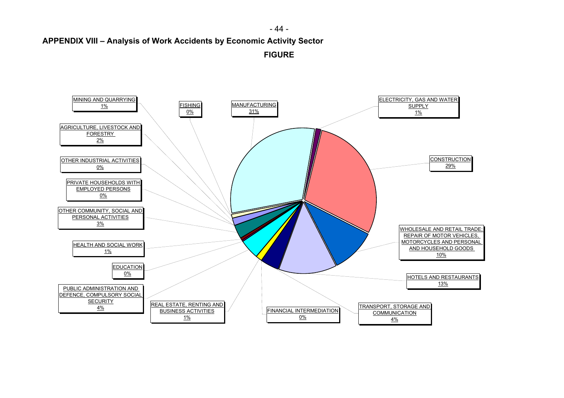- 44 -

**APPENDIX VIII – Analysis of Work Accidents by Economic Activity Sector** 

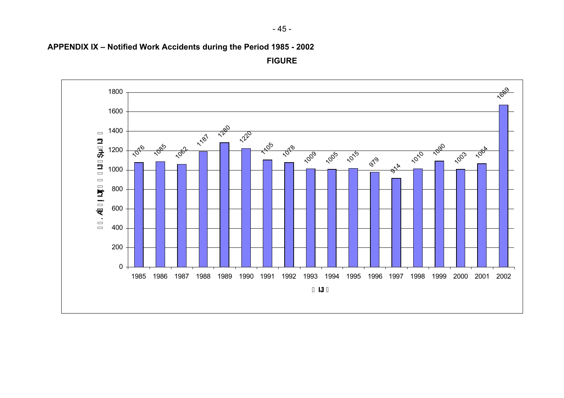

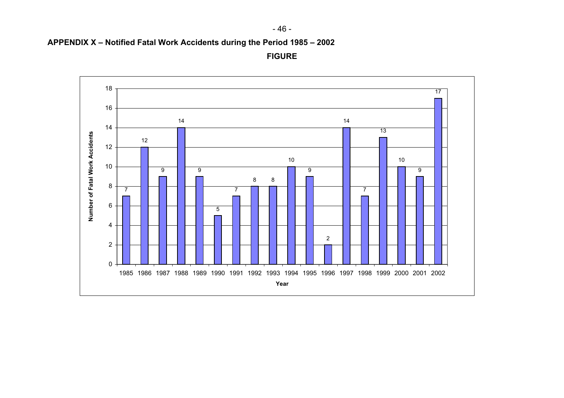

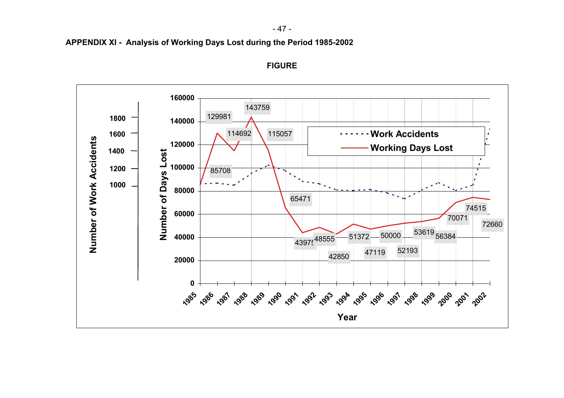- 47 -



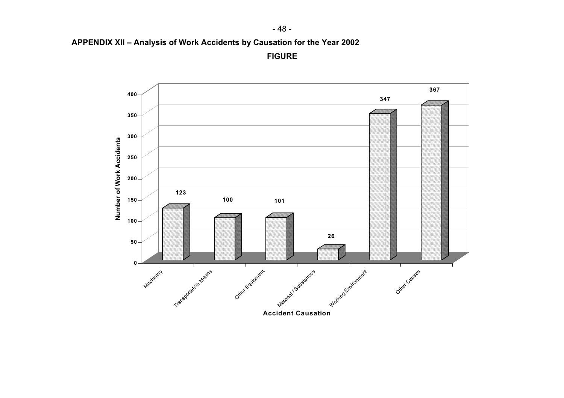- 48 -

**APPENDIX XII – Analysis of Work Accidents by Causation for the Year 2002** 

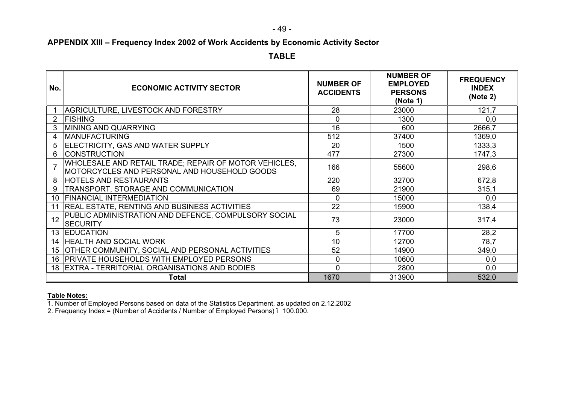- 49 -

## **APPENDIX XIII – Frequency Index 2002 of Work Accidents by Economic Activity Sector**

**TABLE**

| No.             | <b>ECONOMIC ACTIVITY SECTOR</b>                                                                       | <b>NUMBER OF</b><br><b>ACCIDENTS</b> | <b>NUMBER OF</b><br><b>EMPLOYED</b><br><b>PERSONS</b><br>(Note 1) | <b>FREQUENCY</b><br><b>INDEX</b><br>(Note 2) |
|-----------------|-------------------------------------------------------------------------------------------------------|--------------------------------------|-------------------------------------------------------------------|----------------------------------------------|
|                 | AGRICULTURE, LIVESTOCK AND FORESTRY                                                                   | 28                                   | 23000                                                             | 121,7                                        |
| $\overline{2}$  | <b>FISHING</b>                                                                                        | 0                                    | 1300                                                              | 0,0                                          |
|                 | MINING AND QUARRYING                                                                                  | 16                                   | 600                                                               | 2666,7                                       |
| 4               | <b>MANUFACTURING</b>                                                                                  | 512                                  | 37400                                                             | 1369,0                                       |
| 5               | ELECTRICITY, GAS AND WATER SUPPLY                                                                     | 20                                   | 1500                                                              | 1333,3                                       |
| 6               | <b>CONSTRUCTION</b>                                                                                   | 477                                  | 27300                                                             | 1747,3                                       |
|                 | WHOLESALE AND RETAIL TRADE; REPAIR OF MOTOR VEHICLES,<br>MOTORCYCLES AND PERSONAL AND HOUSEHOLD GOODS | 166                                  | 55600                                                             | 298,6                                        |
| 8               | <b>HOTELS AND RESTAURANTS</b>                                                                         | 220                                  | 32700                                                             | 672,8                                        |
| 9               | TRANSPORT, STORAGE AND COMMUNICATION                                                                  | 69                                   | 21900                                                             | 315,1                                        |
| 10              | <b>FINANCIAL INTERMEDIATION</b>                                                                       | $\mathbf 0$                          | 15000                                                             | 0,0                                          |
| 11              | <b>REAL ESTATE, RENTING AND BUSINESS ACTIVITIES</b>                                                   | 22                                   | 15900                                                             | 138,4                                        |
| 12              | PUBLIC ADMINISTRATION AND DEFENCE, COMPULSORY SOCIAL<br><b>SECURITY</b>                               | 73                                   | 23000                                                             | 317,4                                        |
| 13              | <b>EDUCATION</b>                                                                                      | 5                                    | 17700                                                             | 28,2                                         |
| 14              | <b>HEALTH AND SOCIAL WORK</b>                                                                         | 10                                   | 12700                                                             | 78,7                                         |
| 15 <sub>1</sub> | OTHER COMMUNITY, SOCIAL AND PERSONAL ACTIVITIES                                                       | 52                                   | 14900                                                             | 349,0                                        |
| 16              | <b>PRIVATE HOUSEHOLDS WITH EMPLOYED PERSONS</b>                                                       | 0                                    | 10600                                                             | 0,0                                          |
| 18              | <b>EXTRA - TERRITORIAL ORGANISATIONS AND BODIES</b>                                                   | $\overline{0}$                       | 2800                                                              | 0,0                                          |
|                 | Total                                                                                                 | 1670                                 | 313900                                                            | 532,0                                        |

#### **Table Notes:**

1. Number of Employed Persons based on data of the Statistics Department, as updated on 2.12.2002

2. Frequency Index = (Number of Accidents / Number of Employed Persons) 100.000.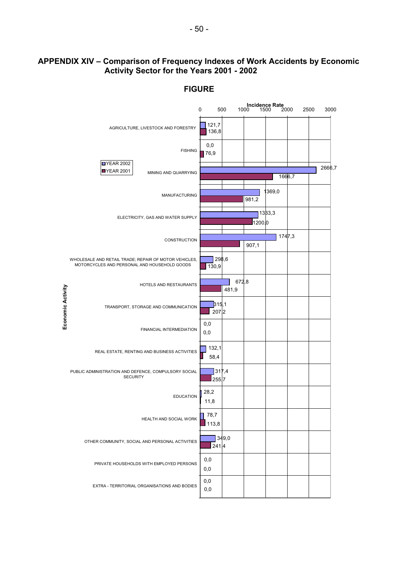## **APPENDIX XIV – Comparison of Frequency Indexes of Work Accidents by Economic Activity Sector for the Years 2001 - 2002**

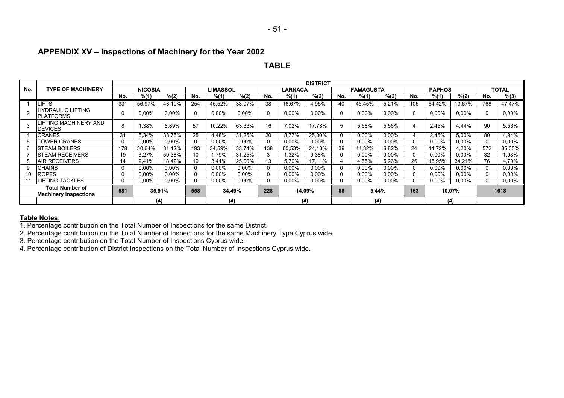## **APPENDIX XV – Inspections of Machinery for the Year 2002**

#### **TABLE**

|     |                                                        |          |                |          |          |                 |          |     |                | <b>DISTRICT</b> |     |                  |          |                |               |          |     |              |
|-----|--------------------------------------------------------|----------|----------------|----------|----------|-----------------|----------|-----|----------------|-----------------|-----|------------------|----------|----------------|---------------|----------|-----|--------------|
| No. | <b>TYPE OF MACHINERY</b>                               |          | <b>NICOSIA</b> |          |          | <b>LIMASSOL</b> |          |     | <b>LARNACA</b> |                 |     | <b>FAMAGUSTA</b> |          |                | <b>PAPHOS</b> |          |     | <b>TOTAL</b> |
|     |                                                        | No.      | % (1)          | % (2)    | No.      | % (1)           | % (2)    | No. | % (1)          | % (2)           | No. | % (1)            | % (2)    | No.            | % (1)         | % (2)    | No. | % (3)        |
|     | LIFTS                                                  | 331      | 56,97%         | 43,10%   | 254      | 45,52%          | 33,07%   | 38  | 16,67%         | 4,95%           | 40  | 45,45%           | 5,21%    | 105            | 64,42%        | 13,67%   | 768 | 47,47%       |
|     | <b>HYDRAULIC LIFTING</b><br>PLATFORMS                  | 0        | 0,00%          | $0.00\%$ | 0        | $0.00\%$        | $0.00\%$ |     | 0,00%          | 0,00%           |     | 0,00%            | $0.00\%$ | $\mathbf{0}$   | 0,00%         | 0,00%    | 0   | $0.00\%$     |
|     | LIFTING MACHINERY AND<br>DEVICES                       | 8        | .38%           | 8,89%    | 57       | 10,22%          | 63,33%   | 16  | 7,02%          | 17.78%          |     | 5,68%            | 5,56%    | $\overline{4}$ | 2,45%         | 4,44%    | 90  | 5,56%        |
|     | CRANES                                                 | 31       | 5,34%          | 38.75%   | 25       | 4,48%           | 31.25%   | 20  | 8.77%          | 25.00%          |     | $0,00\%$         | 0,00%    | 4              | 2,45%         | 5,00%    | 80  | 4,94%        |
|     | <b>TOWER CRANES</b>                                    |          | $0.00\%$       | 0,00%    | 0        | $0.00\%$        | $0.00\%$ |     | $0.00\%$       | $0.00\%$        |     | $0.00\%$         | $0.00\%$ | 0              | $0.00\%$      | 0.00%    |     | $0.00\%$     |
|     | <b>STEAM BOILERS</b>                                   | 178      | 30,64%         | 31,12%   | 193      | 34,59%          | 33.74%   | 138 | 60,53%         | 24,13%          | 39  | 44,32%           | 6,82%    | 24             | 14,72%        | 4,20%    | 572 | 35,35%       |
|     | <b>ISTEAM RECEIVERS</b>                                | 19       | 3,27%          | 59.38%   | 10       | .79%            | 31.25%   |     | .32%           | 9,38%           |     | $0.00\%$         | $0.00\%$ | $\Omega$       | 0,00%         | $0.00\%$ | 32  | 1,98%        |
|     | <b>AIR RECEIVERS</b>                                   | 14       | 2,41%          | 18.42%   | 19       | 3,41%           | 25,00%   | 13  | 5.70%          | 17,11%          |     | 4,55%            | 5,26%    | 26             | 15,95%        | 34,21%   | 76  | 4,70%        |
|     | <b>CHAINS</b>                                          | 0        | $0.00\%$       | $0.00\%$ | 0        | $0.00\%$        | $0.00\%$ |     | $0.00\%$       | $0.00\%$        |     | $0.00\%$         | $0.00\%$ | $\mathbf{0}$   | $0.00\%$      | $0.00\%$ |     | $0.00\%$     |
| 10  | <b>ROPES</b>                                           | $\Omega$ | $0.00\%$       | $0.00\%$ | $\Omega$ | 0,00%           | 0,00%    |     | $0.00\%$       | $0.00\%$        |     | 0,00%            | $0.00\%$ | $\mathbf{0}$   | 0,00%         | 0.00%    |     | $0.00\%$     |
|     | <b>LIFTING TACKLES</b>                                 | 0        | 0,00%          | 0,00%    | 0        | $0,00\%$        | 0,00%    |     | $0,00\%$       | 0,00%           |     | $0.00\%$         | $0,00\%$ |                | 0,00%         | 0,00%    |     | 0,00%        |
|     | <b>Total Number of</b><br><b>Machinery Inspections</b> | 581      |                | 35,91%   | 558      |                 | 34,49%   | 228 | 14,09%         |                 | 88  |                  | 5,44%    | 163            |               | 10,07%   |     | 1618         |
|     |                                                        |          |                | (4)      |          |                 | (4)      |     |                | (4)             |     | (4)              |          |                | (4)           |          |     |              |

#### **Table Notes:**

1. Percentage contribution on the Total Number of Inspections for the same District.

2. Percentage contribution on the Total Number of Inspections for the same Machinery Type Cyprus wide.

3. Percentage contribution on the Total Number of Inspections Cyprus wide.

4. Percentage contribution of District Inspections on the Total Number of Inspections Cyprus wide.